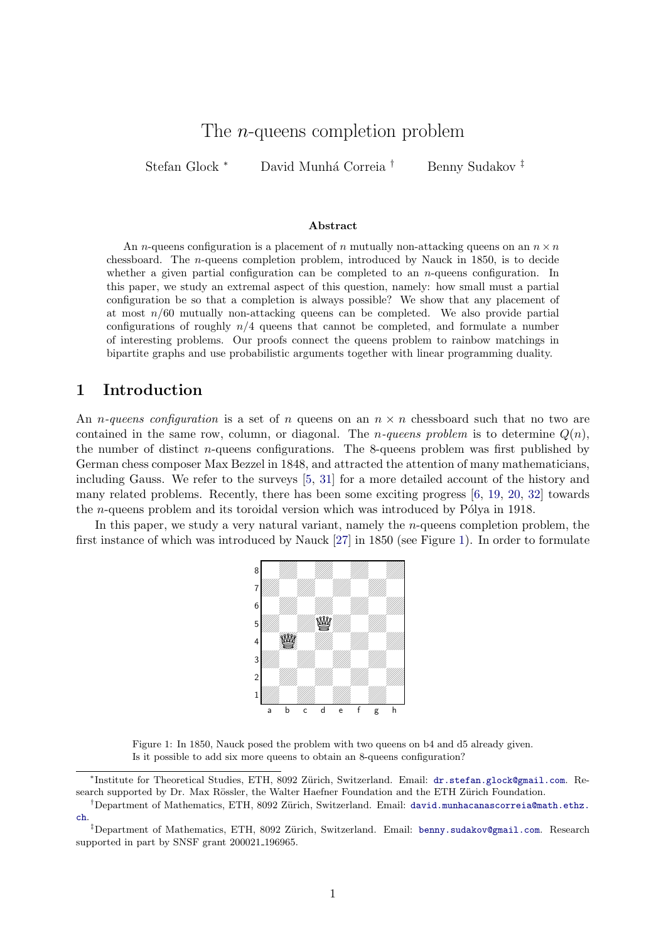# The *n*-queens completion problem

Stefan Glock <sup>∗</sup> David Munhá Correia <sup>†</sup> Benny Sudakov <sup>‡</sup>

#### Abstract

An *n*-queens configuration is a placement of *n* mutually non-attacking queens on an  $n \times n$ chessboard. The n-queens completion problem, introduced by Nauck in 1850, is to decide whether a given partial configuration can be completed to an  $n$ -queens configuration. In this paper, we study an extremal aspect of this question, namely: how small must a partial configuration be so that a completion is always possible? We show that any placement of at most  $n/60$  mutually non-attacking queens can be completed. We also provide partial configurations of roughly  $n/4$  queens that cannot be completed, and formulate a number of interesting problems. Our proofs connect the queens problem to rainbow matchings in bipartite graphs and use probabilistic arguments together with linear programming duality.

#### 1 Introduction

An *n*-queens configuration is a set of *n* queens on an  $n \times n$  chessboard such that no two are contained in the same row, column, or diagonal. The *n*-queens problem is to determine  $Q(n)$ , the number of distinct  $n$ -queens configurations. The 8-queens problem was first published by German chess composer Max Bezzel in 1848, and attracted the attention of many mathematicians, including Gauss. We refer to the surveys [\[5,](#page-17-0) [31\]](#page-18-0) for a more detailed account of the history and many related problems. Recently, there has been some exciting progress [\[6,](#page-17-1) [19,](#page-17-2) [20,](#page-17-3) [32\]](#page-18-1) towards the *n*-queens problem and its toroidal version which was introduced by Pólya in 1918.

<span id="page-0-0"></span>In this paper, we study a very natural variant, namely the  $n$ -queens completion problem, the first instance of which was introduced by Nauck [\[27\]](#page-18-2) in 1850 (see Figure [1\)](#page-0-0). In order to formulate



Figure 1: In 1850, Nauck posed the problem with two queens on b4 and d5 already given. Is it possible to add six more queens to obtain an 8-queens configuration?

<sup>\*</sup>Institute for Theoretical Studies, ETH, 8092 Zürich, Switzerland. Email: [dr.stefan.glock@gmail.com](mailto:dr.stefan.glock@gmail.com). Research supported by Dr. Max Rössler, the Walter Haefner Foundation and the ETH Zürich Foundation.

<sup>&</sup>lt;sup>†</sup>Department of Mathematics, ETH, 8092 Zürich, Switzerland. Email: [david.munhacanascorreia@math.ethz.](mailto:david.munhacanascorreia@math.ethz.ch) [ch](mailto:david.munhacanascorreia@math.ethz.ch).

<sup>&</sup>lt;sup>‡</sup>Department of Mathematics, ETH, 8092 Zürich, Switzerland. Email: [benny.sudakov@gmail.com](mailto:benny.sudakov@gmail.com). Research supported in part by SNSF grant 200021 196965.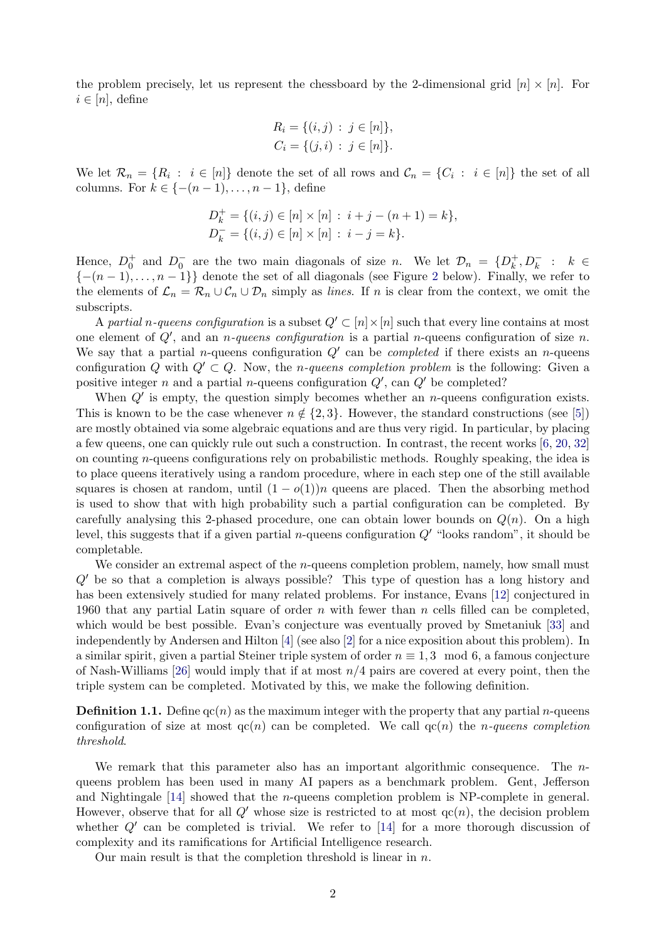the problem precisely, let us represent the chessboard by the 2-dimensional grid  $[n] \times [n]$ . For  $i \in [n]$ , define

$$
R_i = \{(i, j) : j \in [n]\},
$$
  

$$
C_i = \{(j, i) : j \in [n]\}.
$$

We let  $\mathcal{R}_n = \{R_i : i \in [n]\}$  denote the set of all rows and  $\mathcal{C}_n = \{C_i : i \in [n]\}$  the set of all columns. For  $k \in \{-(n-1), \ldots, n-1\}$ , define

$$
D_k^+ = \{(i, j) \in [n] \times [n] : i + j - (n + 1) = k\},
$$
  

$$
D_k^- = \{(i, j) \in [n] \times [n] : i - j = k\}.
$$

Hence,  $D_0^+$  and  $D_0^-$  are the two main diagonals of size n. We let  $\mathcal{D}_n = \{D_k^+\}$  $D_k^+, D_k^- : k \in$  ${-n-1,...,n-1}$  denote the set of all diagonals (see Figure [2](#page-3-0) below). Finally, we refer to the elements of  $\mathcal{L}_n = \mathcal{R}_n \cup \mathcal{C}_n \cup \mathcal{D}_n$  simply as *lines*. If n is clear from the context, we omit the subscripts.

A partial n-queens configuration is a subset  $Q' \subset [n] \times [n]$  such that every line contains at most one element of  $Q'$ , and an *n*-queens configuration is a partial *n*-queens configuration of size *n*. We say that a partial *n*-queens configuration  $Q'$  can be *completed* if there exists an *n*-queens configuration Q with  $Q' \subset Q$ . Now, the *n*-queens completion problem is the following: Given a positive integer n and a partial n-queens configuration  $Q'$ , can  $Q'$  be completed?

When  $Q'$  is empty, the question simply becomes whether an *n*-queens configuration exists. This is known to be the case whenever  $n \notin \{2, 3\}$ . However, the standard constructions (see [\[5\]](#page-17-0)) are mostly obtained via some algebraic equations and are thus very rigid. In particular, by placing a few queens, one can quickly rule out such a construction. In contrast, the recent works [\[6,](#page-17-1) [20,](#page-17-3) [32\]](#page-18-1) on counting n-queens configurations rely on probabilistic methods. Roughly speaking, the idea is to place queens iteratively using a random procedure, where in each step one of the still available squares is chosen at random, until  $(1 - o(1))n$  queens are placed. Then the absorbing method is used to show that with high probability such a partial configuration can be completed. By carefully analysing this 2-phased procedure, one can obtain lower bounds on  $Q(n)$ . On a high level, this suggests that if a given partial *n*-queens configuration  $Q'$  "looks random", it should be completable.

We consider an extremal aspect of the *n*-queens completion problem, namely, how small must  $Q'$  be so that a completion is always possible? This type of question has a long history and has been extensively studied for many related problems. For instance, Evans [\[12\]](#page-17-4) conjectured in 1960 that any partial Latin square of order  $n$  with fewer than  $n$  cells filled can be completed, which would be best possible. Evan's conjecture was eventually proved by Smetaniuk [\[33\]](#page-18-3) and independently by Andersen and Hilton [\[4\]](#page-16-0) (see also [\[2\]](#page-16-1) for a nice exposition about this problem). In a similar spirit, given a partial Steiner triple system of order  $n \equiv 1, 3 \mod 6$ , a famous conjecture of Nash-Williams [\[26\]](#page-17-5) would imply that if at most  $n/4$  pairs are covered at every point, then the triple system can be completed. Motivated by this, we make the following definition.

**Definition 1.1.** Define  $qc(n)$  as the maximum integer with the property that any partial *n*-queens configuration of size at most  $qc(n)$  can be completed. We call  $qc(n)$  the *n*-queens completion threshold.

We remark that this parameter also has an important algorithmic consequence. The nqueens problem has been used in many AI papers as a benchmark problem. Gent, Jefferson and Nightingale [\[14\]](#page-17-6) showed that the n-queens completion problem is NP-complete in general. However, observe that for all  $Q'$  whose size is restricted to at most  $qc(n)$ , the decision problem whether  $Q'$  can be completed is trivial. We refer to [\[14\]](#page-17-6) for a more thorough discussion of complexity and its ramifications for Artificial Intelligence research.

Our main result is that the completion threshold is linear in  $n$ .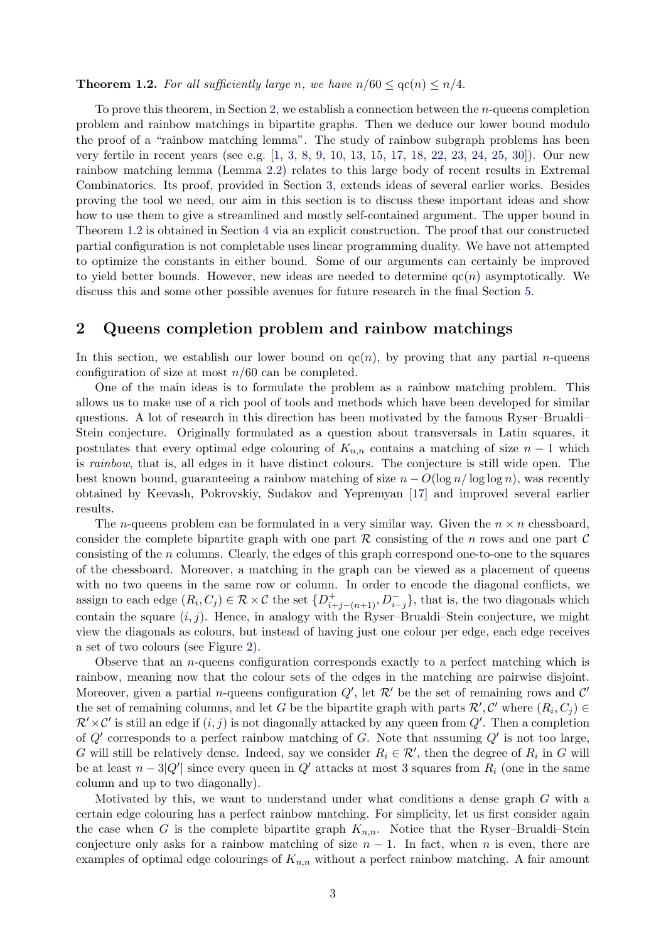#### <span id="page-2-1"></span>**Theorem 1.2.** For all sufficiently large n, we have  $n/60 < \text{qc}(n) < n/4$ .

To prove this theorem, in Section [2,](#page-2-0) we establish a connection between the *n*-queens completion problem and rainbow matchings in bipartite graphs. Then we deduce our lower bound modulo the proof of a "rainbow matching lemma". The study of rainbow subgraph problems has been very fertile in recent years (see e.g. [\[1,](#page-16-2) [3,](#page-16-3) [8,](#page-17-7) [9,](#page-17-8) [10,](#page-17-9) [13,](#page-17-10) [15,](#page-17-11) [17,](#page-17-12) [18,](#page-17-13) [22,](#page-17-14) [23,](#page-17-15) [24,](#page-17-16) [25,](#page-17-17) [30\]](#page-18-4)). Our new rainbow matching lemma (Lemma [2.2\)](#page-3-1) relates to this large body of recent results in Extremal Combinatorics. Its proof, provided in Section [3,](#page-7-0) extends ideas of several earlier works. Besides proving the tool we need, our aim in this section is to discuss these important ideas and show how to use them to give a streamlined and mostly self-contained argument. The upper bound in Theorem [1.2](#page-2-1) is obtained in Section [4](#page-12-0) via an explicit construction. The proof that our constructed partial configuration is not completable uses linear programming duality. We have not attempted to optimize the constants in either bound. Some of our arguments can certainly be improved to yield better bounds. However, new ideas are needed to determine  $qc(n)$  asymptotically. We discuss this and some other possible avenues for future research in the final Section [5.](#page-15-0)

#### <span id="page-2-0"></span>2 Queens completion problem and rainbow matchings

In this section, we establish our lower bound on  $qc(n)$ , by proving that any partial *n*-queens configuration of size at most  $n/60$  can be completed.

One of the main ideas is to formulate the problem as a rainbow matching problem. This allows us to make use of a rich pool of tools and methods which have been developed for similar questions. A lot of research in this direction has been motivated by the famous Ryser–Brualdi– Stein conjecture. Originally formulated as a question about transversals in Latin squares, it postulates that every optimal edge colouring of  $K_{n,n}$  contains a matching of size  $n-1$  which is rainbow, that is, all edges in it have distinct colours. The conjecture is still wide open. The best known bound, guaranteeing a rainbow matching of size  $n - O(\log n / \log \log n)$ , was recently obtained by Keevash, Pokrovskiy, Sudakov and Yepremyan [\[17\]](#page-17-12) and improved several earlier results.

The *n*-queens problem can be formulated in a very similar way. Given the  $n \times n$  chessboard, consider the complete bipartite graph with one part  $R$  consisting of the n rows and one part  $C$ consisting of the n columns. Clearly, the edges of this graph correspond one-to-one to the squares of the chessboard. Moreover, a matching in the graph can be viewed as a placement of queens with no two queens in the same row or column. In order to encode the diagonal conflicts, we assign to each edge  $(R_i, C_j) \in \mathcal{R} \times \mathcal{C}$  the set  $\{D_{i+j-(n+1)}^+, D_{i-j}^-\}$ , that is, the two diagonals which contain the square  $(i, j)$ . Hence, in analogy with the Ryser–Brualdi–Stein conjecture, we might view the diagonals as colours, but instead of having just one colour per edge, each edge receives a set of two colours (see Figure [2\)](#page-3-0).

Observe that an  $n$ -queens configuration corresponds exactly to a perfect matching which is rainbow, meaning now that the colour sets of the edges in the matching are pairwise disjoint. Moreover, given a partial *n*-queens configuration  $Q'$ , let  $\mathcal{R}'$  be the set of remaining rows and  $\mathcal{C}'$ the set of remaining columns, and let G be the bipartite graph with parts  $\mathcal{R}', \mathcal{C}'$  where  $(R_i, C_j) \in$  $\mathcal{R}' \times \mathcal{C}'$  is still an edge if  $(i, j)$  is not diagonally attacked by any queen from  $Q'$ . Then a completion of  $Q'$  corresponds to a perfect rainbow matching of G. Note that assuming  $Q'$  is not too large, G will still be relatively dense. Indeed, say we consider  $R_i \in \mathcal{R}'$ , then the degree of  $R_i$  in G will be at least  $n-3|Q'|\$  since every queen in  $Q'$  attacks at most 3 squares from  $R_i$  (one in the same column and up to two diagonally).

Motivated by this, we want to understand under what conditions a dense graph  $G$  with a certain edge colouring has a perfect rainbow matching. For simplicity, let us first consider again the case when G is the complete bipartite graph  $K_{n,n}$ . Notice that the Ryser–Brualdi–Stein conjecture only asks for a rainbow matching of size  $n-1$ . In fact, when n is even, there are examples of optimal edge colourings of  $K_{n,n}$  without a perfect rainbow matching. A fair amount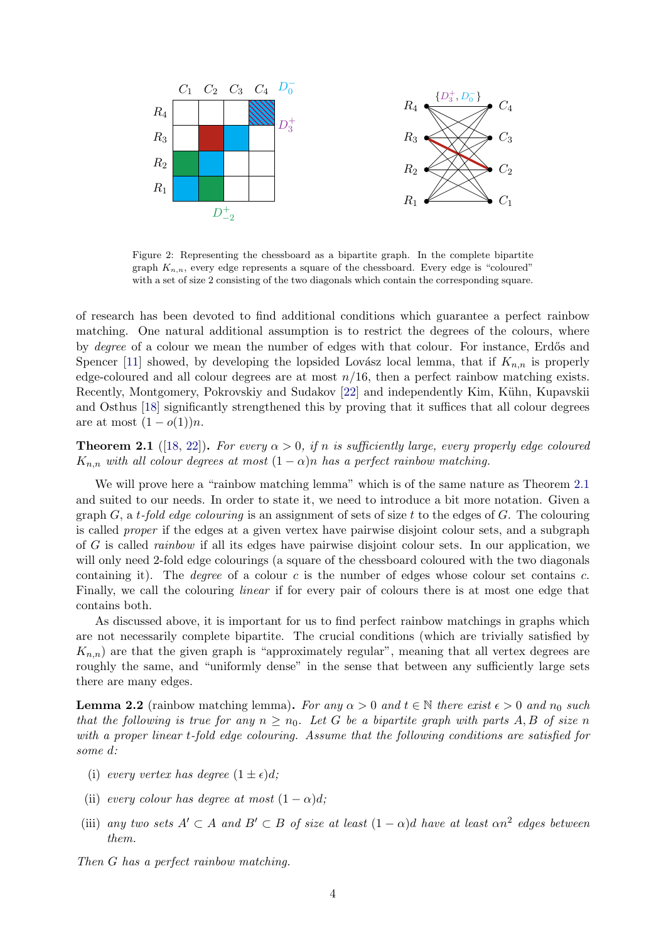<span id="page-3-0"></span>

Figure 2: Representing the chessboard as a bipartite graph. In the complete bipartite graph  $K_{n,n}$ , every edge represents a square of the chessboard. Every edge is "coloured" with a set of size 2 consisting of the two diagonals which contain the corresponding square.

of research has been devoted to find additional conditions which guarantee a perfect rainbow matching. One natural additional assumption is to restrict the degrees of the colours, where by *degree* of a colour we mean the number of edges with that colour. For instance, Erdős and Spencer [\[11\]](#page-17-18) showed, by developing the lopsided Lovász local lemma, that if  $K_{n,n}$  is properly edge-coloured and all colour degrees are at most  $n/16$ , then a perfect rainbow matching exists. Recently, Montgomery, Pokrovskiy and Sudakov [\[22\]](#page-17-14) and independently Kim, Kühn, Kupavskii and Osthus [\[18\]](#page-17-13) significantly strengthened this by proving that it suffices that all colour degrees are at most  $(1 - o(1))n$ .

<span id="page-3-2"></span>**Theorem 2.1** ([\[18,](#page-17-13) [22\]](#page-17-14)). For every  $\alpha > 0$ , if n is sufficiently large, every properly edge coloured  $K_{n,n}$  with all colour degrees at most  $(1 - \alpha)n$  has a perfect rainbow matching.

We will prove here a "rainbow matching lemma" which is of the same nature as Theorem [2.1](#page-3-2) and suited to our needs. In order to state it, we need to introduce a bit more notation. Given a graph G, a t-fold edge colouring is an assignment of sets of size t to the edges of G. The colouring is called proper if the edges at a given vertex have pairwise disjoint colour sets, and a subgraph of G is called rainbow if all its edges have pairwise disjoint colour sets. In our application, we will only need 2-fold edge colourings (a square of the chessboard coloured with the two diagonals containing it). The *degree* of a colour  $c$  is the number of edges whose colour set contains  $c$ . Finally, we call the colouring linear if for every pair of colours there is at most one edge that contains both.

As discussed above, it is important for us to find perfect rainbow matchings in graphs which are not necessarily complete bipartite. The crucial conditions (which are trivially satisfied by  $K_{n,n}$ ) are that the given graph is "approximately regular", meaning that all vertex degrees are roughly the same, and "uniformly dense" in the sense that between any sufficiently large sets there are many edges.

<span id="page-3-1"></span>**Lemma 2.2** (rainbow matching lemma). For any  $\alpha > 0$  and  $t \in \mathbb{N}$  there exist  $\epsilon > 0$  and  $n_0$  such that the following is true for any  $n \geq n_0$ . Let G be a bipartite graph with parts A, B of size n with a proper linear t-fold edge colouring. Assume that the following conditions are satisfied for some d:

- <span id="page-3-4"></span>(i) every vertex has degree  $(1 \pm \epsilon)d$ ;
- <span id="page-3-5"></span>(ii) every colour has degree at most  $(1 - \alpha)d$ ;
- <span id="page-3-3"></span>(iii) any two sets  $A' \subset A$  and  $B' \subset B$  of size at least  $(1 - \alpha)d$  have at least  $\alpha n^2$  edges between them.

Then G has a perfect rainbow matching.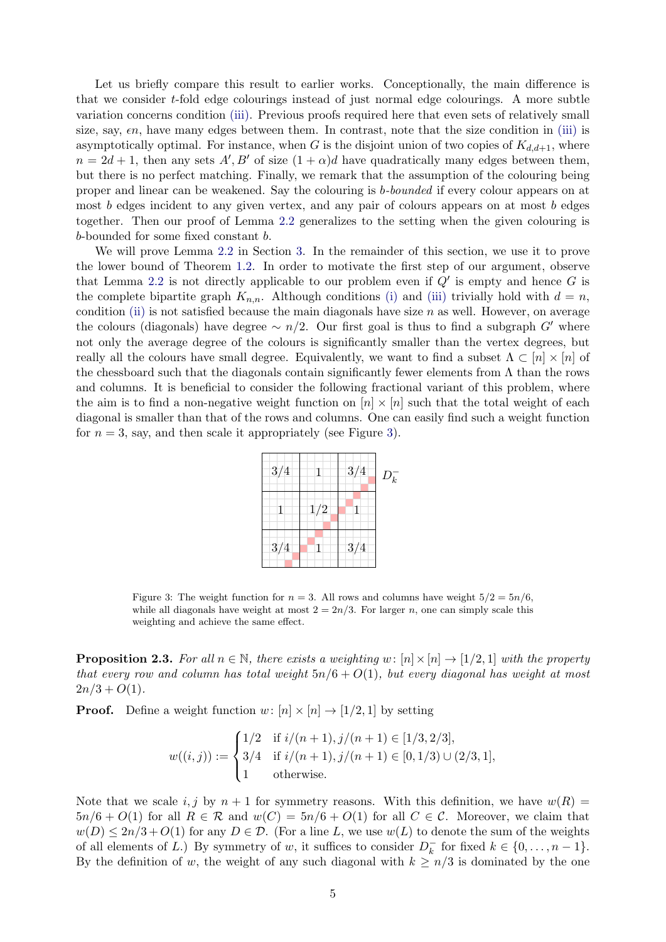Let us briefly compare this result to earlier works. Conceptionally, the main difference is that we consider t-fold edge colourings instead of just normal edge colourings. A more subtle variation concerns condition [\(iii\).](#page-3-3) Previous proofs required here that even sets of relatively small size, say,  $\epsilon n$ , have many edges between them. In contrast, note that the size condition in [\(iii\)](#page-3-3) is asymptotically optimal. For instance, when G is the disjoint union of two copies of  $K_{d,d+1}$ , where  $n = 2d + 1$ , then any sets  $A', B'$  of size  $(1 + \alpha)d$  have quadratically many edges between them, but there is no perfect matching. Finally, we remark that the assumption of the colouring being proper and linear can be weakened. Say the colouring is b-bounded if every colour appears on at most  $b$  edges incident to any given vertex, and any pair of colours appears on at most  $b$  edges together. Then our proof of Lemma [2.2](#page-3-1) generalizes to the setting when the given colouring is b-bounded for some fixed constant b.

We will prove Lemma [2.2](#page-3-1) in Section [3.](#page-7-0) In the remainder of this section, we use it to prove the lower bound of Theorem [1.2.](#page-2-1) In order to motivate the first step of our argument, observe that Lemma [2.2](#page-3-1) is not directly applicable to our problem even if  $Q'$  is empty and hence G is the complete bipartite graph  $K_{n,n}$ . Although conditions [\(i\)](#page-3-4) and [\(iii\)](#page-3-3) trivially hold with  $d = n$ , condition [\(ii\)](#page-3-5) is not satisfied because the main diagonals have size  $n$  as well. However, on average the colours (diagonals) have degree  $\sim n/2$ . Our first goal is thus to find a subgraph G' where not only the average degree of the colours is significantly smaller than the vertex degrees, but really all the colours have small degree. Equivalently, we want to find a subset  $\Lambda \subset [n] \times [n]$  of the chessboard such that the diagonals contain significantly fewer elements from  $\Lambda$  than the rows and columns. It is beneficial to consider the following fractional variant of this problem, where the aim is to find a non-negative weight function on  $[n] \times [n]$  such that the total weight of each diagonal is smaller than that of the rows and columns. One can easily find such a weight function for  $n = 3$ , say, and then scale it appropriately (see Figure [3\)](#page-4-0).

| 3/4     |     | 3/4 | $D_k^-$ |
|---------|-----|-----|---------|
|         | 1/2 |     |         |
| $3/4\,$ |     | 3/4 |         |

<span id="page-4-0"></span>Figure 3: The weight function for  $n = 3$ . All rows and columns have weight  $5/2 = 5n/6$ , while all diagonals have weight at most  $2 = 2n/3$ . For larger n, one can simply scale this weighting and achieve the same effect.

<span id="page-4-1"></span>**Proposition 2.3.** For all  $n \in \mathbb{N}$ , there exists a weighting w:  $[n] \times [n] \rightarrow [1/2, 1]$  with the property that every row and column has total weight  $5n/6 + O(1)$ , but every diagonal has weight at most  $2n/3 + O(1)$ .

**Proof.** Define a weight function  $w: [n] \times [n] \rightarrow [1/2, 1]$  by setting

$$
w((i,j)) := \begin{cases} 1/2 & \text{if } i/(n+1), j/(n+1) \in [1/3, 2/3], \\ 3/4 & \text{if } i/(n+1), j/(n+1) \in [0, 1/3) \cup (2/3, 1], \\ 1 & \text{otherwise.} \end{cases}
$$

Note that we scale i, j by  $n + 1$  for symmetry reasons. With this definition, we have  $w(R)$  $5n/6 + O(1)$  for all  $R \in \mathcal{R}$  and  $w(C) = 5n/6 + O(1)$  for all  $C \in \mathcal{C}$ . Moreover, we claim that  $w(D) \leq 2n/3 + O(1)$  for any  $D \in \mathcal{D}$ . (For a line L, we use  $w(L)$  to denote the sum of the weights of all elements of L.) By symmetry of w, it suffices to consider  $D_k^$  $k \atop k$  for fixed  $k \in \{0, ..., n-1\}.$ By the definition of w, the weight of any such diagonal with  $k \geq n/3$  is dominated by the one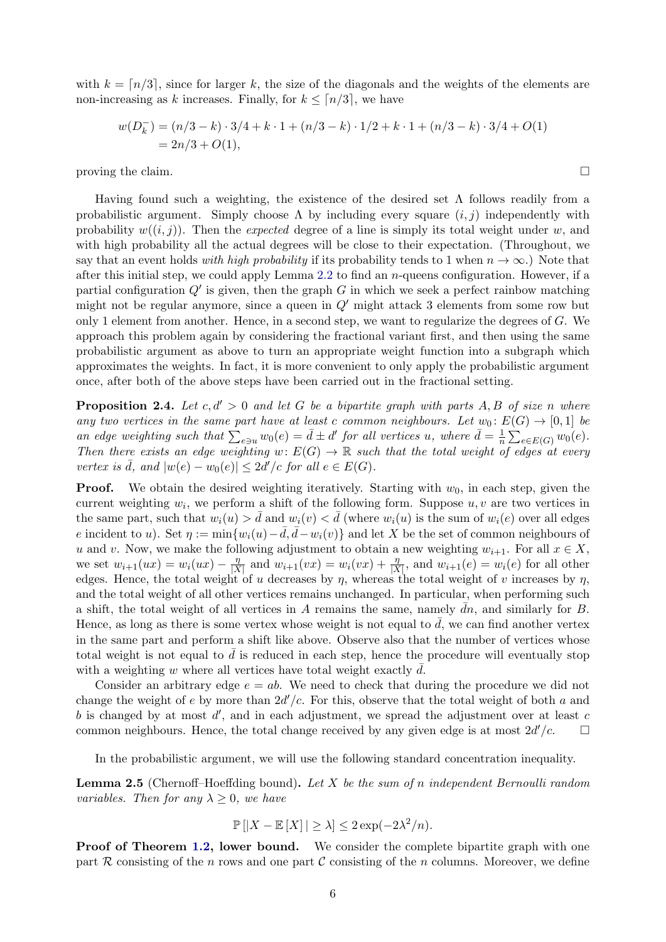with  $k = \lfloor n/3 \rfloor$ , since for larger k, the size of the diagonals and the weights of the elements are non-increasing as k increases. Finally, for  $k \leq \lceil n/3 \rceil$ , we have

$$
w(Dk-) = (n/3 - k) \cdot 3/4 + k \cdot 1 + (n/3 - k) \cdot 1/2 + k \cdot 1 + (n/3 - k) \cdot 3/4 + O(1)
$$
  
= 2n/3 + O(1),

proving the claim.  $\Box$ 

Having found such a weighting, the existence of the desired set  $\Lambda$  follows readily from a probabilistic argument. Simply choose  $\Lambda$  by including every square  $(i, j)$  independently with probability  $w((i, j))$ . Then the expected degree of a line is simply its total weight under w, and with high probability all the actual degrees will be close to their expectation. (Throughout, we say that an event holds with high probability if its probability tends to 1 when  $n \to \infty$ .) Note that after this initial step, we could apply Lemma [2.2](#page-3-1) to find an  $n$ -queens configuration. However, if a partial configuration  $Q'$  is given, then the graph G in which we seek a perfect rainbow matching might not be regular anymore, since a queen in  $Q'$  might attack 3 elements from some row but only 1 element from another. Hence, in a second step, we want to regularize the degrees of G. We approach this problem again by considering the fractional variant first, and then using the same probabilistic argument as above to turn an appropriate weight function into a subgraph which approximates the weights. In fact, it is more convenient to only apply the probabilistic argument once, after both of the above steps have been carried out in the fractional setting.

<span id="page-5-0"></span>**Proposition 2.4.** Let  $c, d' > 0$  and let G be a bipartite graph with parts A, B of size n where any two vertices in the same part have at least c common neighbours. Let  $w_0: E(G) \to [0,1]$  be an edge weighting such that  $\sum_{e \ni u} w_0(e) = \bar{d} \pm d'$  for all vertices u, where  $\bar{d} = \frac{1}{n}$  $\frac{1}{n} \sum_{e \in E(G)} w_0(e).$ Then there exists an edge weighting w:  $E(G) \to \mathbb{R}$  such that the total weight of edges at every vertex is  $\overline{d}$ , and  $|w(e) - w_0(e)| \leq 2d'/c$  for all  $e \in E(G)$ .

**Proof.** We obtain the desired weighting iteratively. Starting with  $w_0$ , in each step, given the current weighting  $w_i$ , we perform a shift of the following form. Suppose  $u, v$  are two vertices in the same part, such that  $w_i(u) > d$  and  $w_i(v) < d$  (where  $w_i(u)$  is the sum of  $w_i(e)$  over all edges e incident to u). Set  $\eta := \min\{w_i(u) - \bar{d}, \bar{d} - w_i(v)\}\$ and let X be the set of common neighbours of u and v. Now, we make the following adjustment to obtain a new weighting  $w_{i+1}$ . For all  $x \in X$ , we set  $w_{i+1}(ux) = w_i(ux) - \frac{\eta}{|X|}$  $\frac{\eta}{|X|}$  and  $w_{i+1}(vx) = w_i(vx) + \frac{\eta}{|X|}$ , and  $w_{i+1}(e) = w_i(e)$  for all other edges. Hence, the total weight of u decreases by  $\eta$ , whereas the total weight of v increases by  $\eta$ , and the total weight of all other vertices remains unchanged. In particular, when performing such a shift, the total weight of all vertices in A remains the same, namely  $\bar{d}n$ , and similarly for B. Hence, as long as there is some vertex whose weight is not equal to  $d$ , we can find another vertex in the same part and perform a shift like above. Observe also that the number of vertices whose total weight is not equal to  $d$  is reduced in each step, hence the procedure will eventually stop with a weighting w where all vertices have total weight exactly  $d$ .

Consider an arbitrary edge  $e = ab$ . We need to check that during the procedure we did not change the weight of e by more than  $2d'/c$ . For this, observe that the total weight of both a and  $b$  is changed by at most  $d'$ , and in each adjustment, we spread the adjustment over at least  $c$ common neighbours. Hence, the total change received by any given edge is at most  $2d'/c$ .

In the probabilistic argument, we will use the following standard concentration inequality.

<span id="page-5-1"></span>**Lemma 2.5** (Chernoff–Hoeffding bound). Let X be the sum of n independent Bernoulli random variables. Then for any  $\lambda \geq 0$ , we have

$$
\mathbb{P}\left[|X - \mathbb{E}\left[X\right]| \ge \lambda\right] \le 2\exp(-2\lambda^2/n).
$$

Proof of Theorem [1.2,](#page-2-1) lower bound. We consider the complete bipartite graph with one part  $R$  consisting of the n rows and one part  $C$  consisting of the n columns. Moreover, we define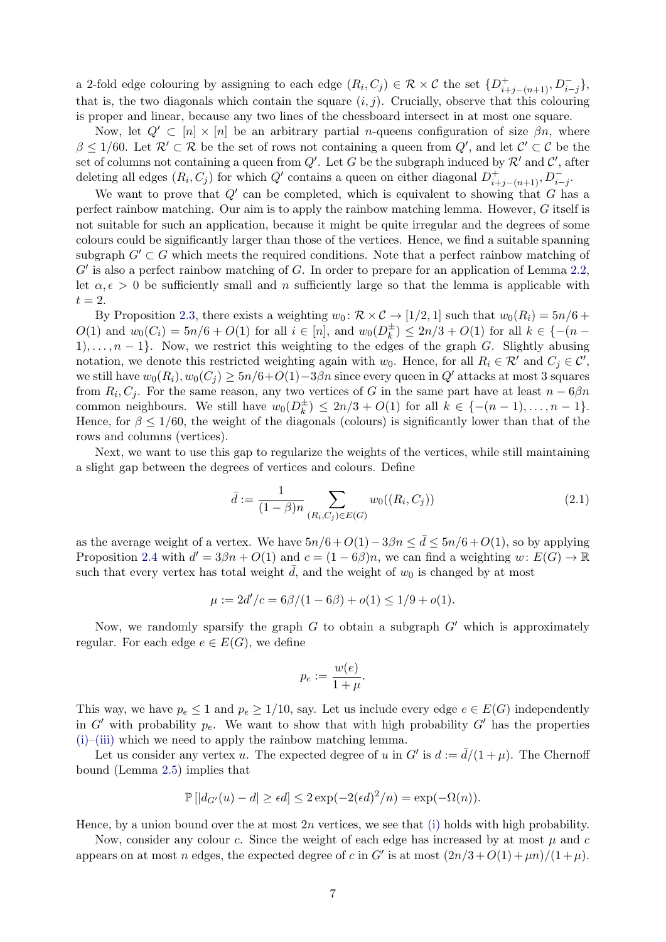a 2-fold edge colouring by assigning to each edge  $(R_i, C_j) \in \mathcal{R} \times \mathcal{C}$  the set  $\{D^+_{i+j-(n+1)}, D^-_{i-j}\},$ that is, the two diagonals which contain the square  $(i, j)$ . Crucially, observe that this colouring is proper and linear, because any two lines of the chessboard intersect in at most one square.

Now, let  $Q' \subset [n] \times [n]$  be an arbitrary partial *n*-queens configuration of size  $\beta n$ , where  $\beta \leq 1/60$ . Let  $\mathcal{R}' \subset \mathcal{R}$  be the set of rows not containing a queen from  $Q'$ , and let  $\mathcal{C}' \subset \mathcal{C}$  be the set of columns not containing a queen from  $Q'$ . Let G be the subgraph induced by  $\mathcal{R}'$  and  $\mathcal{C}'$ , after deleting all edges  $(R_i, C_j)$  for which  $Q'$  contains a queen on either diagonal  $D_{i+j-(n+1)}^+$ ,  $D_{i-j}^-$ .

We want to prove that  $Q'$  can be completed, which is equivalent to showing that G has a perfect rainbow matching. Our aim is to apply the rainbow matching lemma. However, G itself is not suitable for such an application, because it might be quite irregular and the degrees of some colours could be significantly larger than those of the vertices. Hence, we find a suitable spanning subgraph  $G' \subset G$  which meets the required conditions. Note that a perfect rainbow matching of  $G'$  is also a perfect rainbow matching of  $G$ . In order to prepare for an application of Lemma [2.2,](#page-3-1) let  $\alpha, \epsilon > 0$  be sufficiently small and n sufficiently large so that the lemma is applicable with  $t=2.$ 

By Proposition [2.3,](#page-4-1) there exists a weighting  $w_0 \colon \mathcal{R} \times \mathcal{C} \to [1/2, 1]$  such that  $w_0(R_i) = 5n/6 + 1$  $O(1)$  and  $w_0(C_i) = 5n/6 + O(1)$  for all  $i \in [n]$ , and  $w_0(D_k^{\pm})$  $(k) \leq 2n/3 + O(1)$  for all  $k \in \{-(n-1)\}$ 1), ...,  $n-1$ . Now, we restrict this weighting to the edges of the graph G. Slightly abusing notation, we denote this restricted weighting again with  $w_0$ . Hence, for all  $R_i \in \mathcal{R}'$  and  $C_j \in \mathcal{C}'$ , we still have  $w_0(R_i), w_0(C_i) \geq 5n/6+O(1)-3\beta n$  since every queen in Q' attacks at most 3 squares from  $R_i, C_j$ . For the same reason, any two vertices of G in the same part have at least  $n - 6\beta n$ common neighbours. We still have  $w_0(D_k^{\pm})$  $\binom{\pm}{k} \leq 2n/3 + O(1)$  for all  $k \in \{-(n-1), \ldots, n-1\}.$ Hence, for  $\beta \leq 1/60$ , the weight of the diagonals (colours) is significantly lower than that of the rows and columns (vertices).

Next, we want to use this gap to regularize the weights of the vertices, while still maintaining a slight gap between the degrees of vertices and colours. Define

$$
\bar{d} := \frac{1}{(1-\beta)n} \sum_{(R_i, C_j) \in E(G)} w_0((R_i, C_j))
$$
\n(2.1)

as the average weight of a vertex. We have  $5n/6 + O(1) - 3\beta n \leq d \leq 5n/6 + O(1)$ , so by applying Proposition [2.4](#page-5-0) with  $d' = 3\beta n + O(1)$  and  $c = (1 - 6\beta)n$ , we can find a weighting  $w \colon E(G) \to \mathbb{R}$ such that every vertex has total weight  $\overline{d}$ , and the weight of  $w_0$  is changed by at most

$$
\mu := 2d'/c = 6\beta/(1 - 6\beta) + o(1) \le 1/9 + o(1).
$$

Now, we randomly sparsify the graph G to obtain a subgraph  $G'$  which is approximately regular. For each edge  $e \in E(G)$ , we define

$$
p_e := \frac{w(e)}{1 + \mu}.
$$

This way, we have  $p_e \leq 1$  and  $p_e \geq 1/10$ , say. Let us include every edge  $e \in E(G)$  independently in G' with probability  $p_e$ . We want to show that with high probability G' has the properties  $(i)$ –[\(iii\)](#page-3-3) which we need to apply the rainbow matching lemma.

Let us consider any vertex u. The expected degree of u in  $G'$  is  $d := \bar{d}/(1 + \mu)$ . The Chernoff bound (Lemma [2.5\)](#page-5-1) implies that

$$
\mathbb{P}\left[|d_{G'}(u)-d|\geq \epsilon d\right] \leq 2\exp(-2(\epsilon d)^2/n) = \exp(-\Omega(n)).
$$

Hence, by a union bound over the at most  $2n$  vertices, we see that [\(i\)](#page-3-4) holds with high probability.

Now, consider any colour c. Since the weight of each edge has increased by at most  $\mu$  and  $c$ appears on at most n edges, the expected degree of c in G' is at most  $\frac{(2n/3 + O(1) + \mu n)}{(1 + \mu)}$ .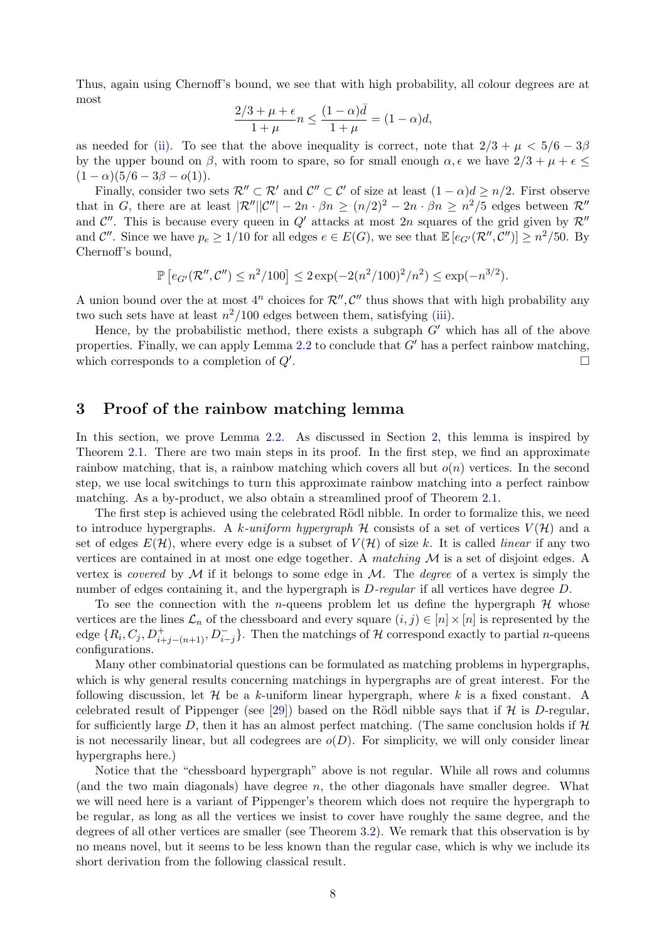Thus, again using Chernoff's bound, we see that with high probability, all colour degrees are at most

$$
\frac{2/3 + \mu + \epsilon}{1 + \mu} n \le \frac{(1 - \alpha)\bar{d}}{1 + \mu} = (1 - \alpha)d,
$$

as needed for [\(ii\).](#page-3-5) To see that the above inequality is correct, note that  $2/3 + \mu < 5/6 - 3\beta$ by the upper bound on  $\beta$ , with room to spare, so for small enough  $\alpha$ ,  $\epsilon$  we have  $2/3 + \mu + \epsilon \leq$  $(1 - \alpha)(5/6 - 3\beta - o(1)).$ 

Finally, consider two sets  $\mathcal{R}'' \subset \mathcal{R}'$  and  $\mathcal{C}'' \subset \mathcal{C}'$  of size at least  $(1 - \alpha)d \geq n/2$ . First observe that in G, there are at least  $|\mathcal{R}''||\mathcal{C}''| - 2n \cdot \beta n \ge (n/2)^2 - 2n \cdot \beta n \ge n^2/5$  edges between  $\mathcal{R}''$ and  $\mathcal{C}''$ . This is because every queen in  $Q'$  attacks at most 2n squares of the grid given by  $\mathcal{R}''$ and  $\mathcal{C}''$ . Since we have  $p_e \geq 1/10$  for all edges  $e \in E(G)$ , we see that  $\mathbb{E}\left[e_{G'}(\mathcal{R}''', \mathcal{C}'')\right] \geq n^2/50$ . By Chernoff's bound,

$$
\mathbb{P}\left[e_{G'}(\mathcal{R}'',\mathcal{C}'')\leq n^2/100\right]\leq 2\exp(-2(n^2/100)^2/n^2)\leq \exp(-n^{3/2}).
$$

A union bound over the at most  $4^n$  choices for  $\mathcal{R}^{\prime\prime}, \mathcal{C}^{\prime\prime}$  thus shows that with high probability any two such sets have at least  $n^2/100$  edges between them, satisfying [\(iii\).](#page-3-3)

Hence, by the probabilistic method, there exists a subgraph  $G'$  which has all of the above properties. Finally, we can apply Lemma [2.2](#page-3-1) to conclude that  $G'$  has a perfect rainbow matching, which corresponds to a completion of  $Q'$ . .

### <span id="page-7-0"></span>3 Proof of the rainbow matching lemma

In this section, we prove Lemma [2.2.](#page-3-1) As discussed in Section [2,](#page-2-0) this lemma is inspired by Theorem [2.1.](#page-3-2) There are two main steps in its proof. In the first step, we find an approximate rainbow matching, that is, a rainbow matching which covers all but  $o(n)$  vertices. In the second step, we use local switchings to turn this approximate rainbow matching into a perfect rainbow matching. As a by-product, we also obtain a streamlined proof of Theorem [2.1.](#page-3-2)

The first step is achieved using the celebrated Rödl nibble. In order to formalize this, we need to introduce hypergraphs. A k-uniform hypergraph  $H$  consists of a set of vertices  $V(H)$  and a set of edges  $E(\mathcal{H})$ , where every edge is a subset of  $V(\mathcal{H})$  of size k. It is called *linear* if any two vertices are contained in at most one edge together. A matching  $\mathcal M$  is a set of disjoint edges. A vertex is *covered* by  $M$  if it belongs to some edge in  $M$ . The *degree* of a vertex is simply the number of edges containing it, and the hypergraph is D-regular if all vertices have degree D.

To see the connection with the *n*-queens problem let us define the hypergraph  $H$  whose vertices are the lines  $\mathcal{L}_n$  of the chessboard and every square  $(i, j) \in [n] \times [n]$  is represented by the edge  $\{R_i, C_j, D_{i+j-(n+1)}^+, D_{i-j}^-\}$ . Then the matchings of H correspond exactly to partial *n*-queens configurations.

Many other combinatorial questions can be formulated as matching problems in hypergraphs, which is why general results concerning matchings in hypergraphs are of great interest. For the following discussion, let  $\mathcal H$  be a k-uniform linear hypergraph, where k is a fixed constant. A celebrated result of Pippenger (see [\[29\]](#page-18-5)) based on the Rödl nibble says that if  $H$  is D-regular, for sufficiently large D, then it has an almost perfect matching. (The same conclusion holds if  $\mathcal H$ is not necessarily linear, but all codegrees are  $o(D)$ . For simplicity, we will only consider linear hypergraphs here.)

Notice that the "chessboard hypergraph" above is not regular. While all rows and columns (and the two main diagonals) have degree  $n$ , the other diagonals have smaller degree. What we will need here is a variant of Pippenger's theorem which does not require the hypergraph to be regular, as long as all the vertices we insist to cover have roughly the same degree, and the degrees of all other vertices are smaller (see Theorem [3.2\)](#page-8-0). We remark that this observation is by no means novel, but it seems to be less known than the regular case, which is why we include its short derivation from the following classical result.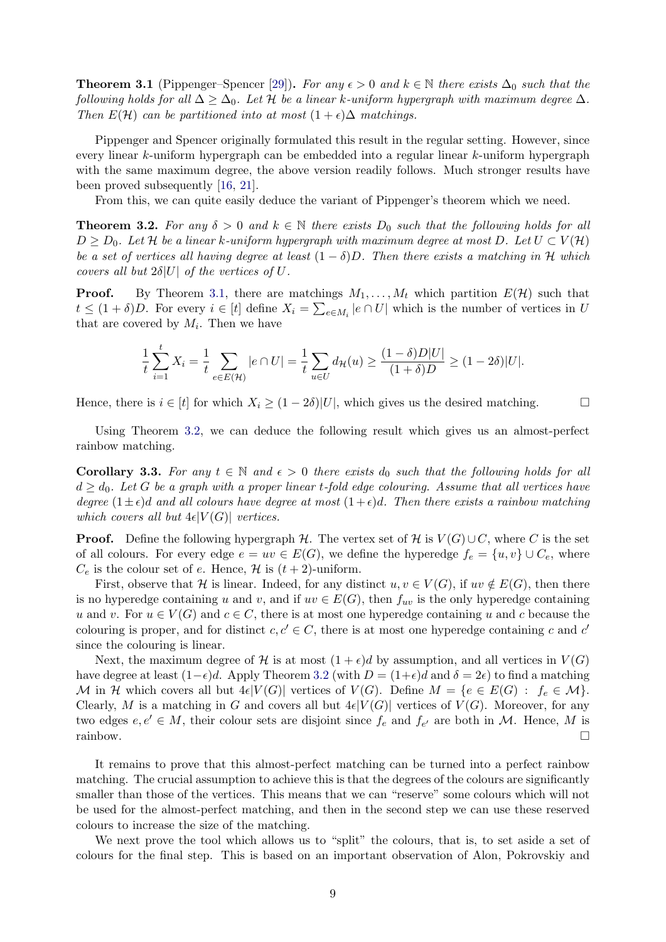<span id="page-8-1"></span>**Theorem 3.1** (Pippenger–Spencer [\[29\]](#page-18-5)). For any  $\epsilon > 0$  and  $k \in \mathbb{N}$  there exists  $\Delta_0$  such that the following holds for all  $\Delta \geq \Delta_0$ . Let H be a linear k-uniform hypergraph with maximum degree  $\Delta$ . Then  $E(\mathcal{H})$  can be partitioned into at most  $(1 + \epsilon)\Delta$  matchings.

Pippenger and Spencer originally formulated this result in the regular setting. However, since every linear k-uniform hypergraph can be embedded into a regular linear k-uniform hypergraph with the same maximum degree, the above version readily follows. Much stronger results have been proved subsequently [\[16,](#page-17-19) [21\]](#page-17-20).

From this, we can quite easily deduce the variant of Pippenger's theorem which we need.

<span id="page-8-0"></span>**Theorem 3.2.** For any  $\delta > 0$  and  $k \in \mathbb{N}$  there exists  $D_0$  such that the following holds for all  $D \geq D_0$ . Let H be a linear k-uniform hypergraph with maximum degree at most D. Let  $U \subset V(\mathcal{H})$ be a set of vertices all having degree at least  $(1 - \delta)D$ . Then there exists a matching in H which covers all but  $2\delta|U|$  of the vertices of U.

**Proof.** By Theorem [3.1,](#page-8-1) there are matchings  $M_1, \ldots, M_t$  which partition  $E(\mathcal{H})$  such that  $t \leq (1+\delta)D$ . For every  $i \in [t]$  define  $X_i = \sum_{e \in M_i} |e \cap U|$  which is the number of vertices in U that are covered by  $M_i$ . Then we have

$$
\frac{1}{t}\sum_{i=1}^t X_i = \frac{1}{t}\sum_{e \in E(\mathcal{H})} |e \cap U| = \frac{1}{t}\sum_{u \in U} d_{\mathcal{H}}(u) \ge \frac{(1-\delta)D|U|}{(1+\delta)D} \ge (1-2\delta)|U|.
$$

Hence, there is  $i \in [t]$  for which  $X_i \geq (1-2\delta)|U|$ , which gives us the desired matching.

Using Theorem [3.2,](#page-8-0) we can deduce the following result which gives us an almost-perfect rainbow matching.

<span id="page-8-2"></span>Corollary 3.3. For any  $t \in \mathbb{N}$  and  $\epsilon > 0$  there exists  $d_0$  such that the following holds for all  $d \geq d_0$ . Let G be a graph with a proper linear t-fold edge colouring. Assume that all vertices have degree  $(1 \pm \epsilon)$ d and all colours have degree at most  $(1 + \epsilon)d$ . Then there exists a rainbow matching which covers all but  $4\epsilon |V(G)|$  vertices.

**Proof.** Define the following hypergraph H. The vertex set of H is  $V(G) \cup C$ , where C is the set of all colours. For every edge  $e = uv \in E(G)$ , we define the hyperedge  $f_e = \{u, v\} \cup C_e$ , where  $C_e$  is the colour set of e. Hence, H is  $(t+2)$ -uniform.

First, observe that H is linear. Indeed, for any distinct  $u, v \in V(G)$ , if  $uv \notin E(G)$ , then there is no hyperedge containing u and v, and if  $uv \in E(G)$ , then  $f_{uv}$  is the only hyperedge containing u and v. For  $u \in V(G)$  and  $c \in C$ , there is at most one hyperedge containing u and c because the colouring is proper, and for distinct  $c, c' \in C$ , there is at most one hyperedge containing c and c' since the colouring is linear.

Next, the maximum degree of H is at most  $(1 + \epsilon)d$  by assumption, and all vertices in  $V(G)$ have degree at least  $(1-\epsilon)d$ . Apply Theorem [3.2](#page-8-0) (with  $D = (1+\epsilon)d$  and  $\delta = 2\epsilon$ ) to find a matching M in H which covers all but  $4\epsilon|V(G)|$  vertices of  $V(G)$ . Define  $M = \{e \in E(G) : f_e \in \mathcal{M}\}.$ Clearly, M is a matching in G and covers all but  $4\epsilon|V(G)|$  vertices of  $V(G)$ . Moreover, for any two edges  $e, e' \in M$ , their colour sets are disjoint since  $f_e$  and  $f_{e'}$  are both in M. Hence, M is rainbow.

It remains to prove that this almost-perfect matching can be turned into a perfect rainbow matching. The crucial assumption to achieve this is that the degrees of the colours are significantly smaller than those of the vertices. This means that we can "reserve" some colours which will not be used for the almost-perfect matching, and then in the second step we can use these reserved colours to increase the size of the matching.

We next prove the tool which allows us to "split" the colours, that is, to set aside a set of colours for the final step. This is based on an important observation of Alon, Pokrovskiy and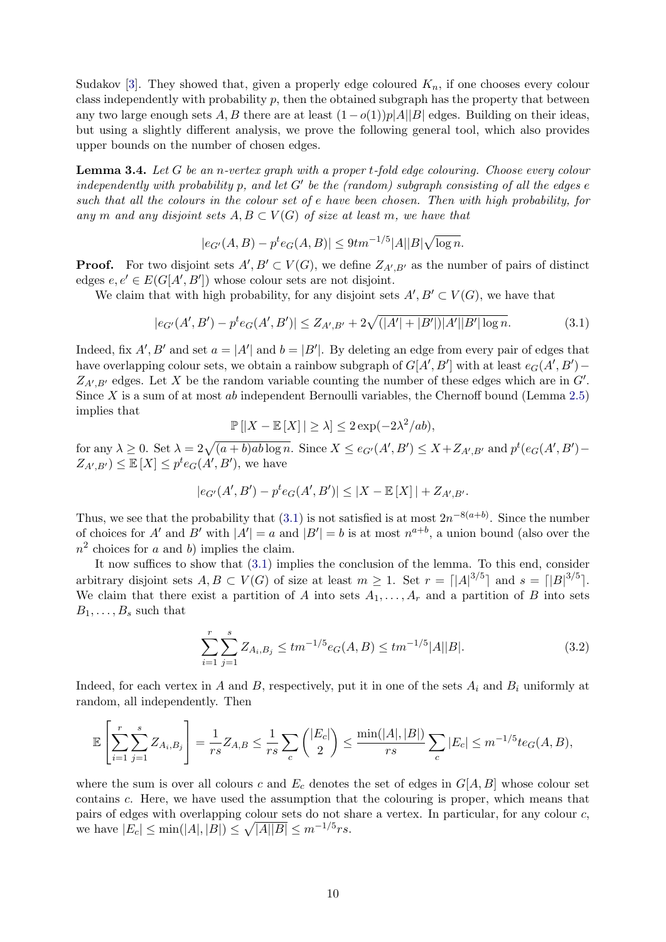Sudakov [\[3\]](#page-16-3). They showed that, given a properly edge coloured  $K_n$ , if one chooses every colour class independently with probability  $p$ , then the obtained subgraph has the property that between any two large enough sets A, B there are at least  $(1-o(1))p|A||B|$  edges. Building on their ideas, but using a slightly different analysis, we prove the following general tool, which also provides upper bounds on the number of chosen edges.

<span id="page-9-2"></span>**Lemma 3.4.** Let  $G$  be an n-vertex graph with a proper t-fold edge colouring. Choose every colour independently with probability p, and let  $G'$  be the (random) subgraph consisting of all the edges  $e$ such that all the colours in the colour set of e have been chosen. Then with high probability, for any m and any disjoint sets  $A, B \subset V(G)$  of size at least m, we have that

$$
|e_{G'}(A,B) - p^t e_G(A,B)| \le 9tm^{-1/5}|A||B|\sqrt{\log n}.
$$

**Proof.** For two disjoint sets  $A, B' \subset V(G)$ , we define  $Z_{A', B'}$  as the number of pairs of distinct edges  $e, e' \in E(G[A', B'])$  whose colour sets are not disjoint.

We claim that with high probability, for any disjoint sets  $A', B' \subset V(G)$ , we have that

$$
|e_{G'}(A',B') - p^t e_G(A',B')| \le Z_{A',B'} + 2\sqrt{(|A'| + |B'|)|A'||B'|\log n}.\tag{3.1}
$$

Indeed, fix  $A', B'$  and set  $a = |A'|$  and  $b = |B'|$ . By deleting an edge from every pair of edges that have overlapping colour sets, we obtain a rainbow subgraph of  $G[A', B']$  with at least  $e_G(A', B')$  –  $Z_{A',B'}$  edges. Let X be the random variable counting the number of these edges which are in  $G'$ . Since X is a sum of at most ab independent Bernoulli variables, the Chernoff bound (Lemma [2.5\)](#page-5-1) implies that

<span id="page-9-0"></span>
$$
\mathbb{P}\left[|X - \mathbb{E}\left[X\right]| \ge \lambda\right] \le 2\exp(-2\lambda^2/ab),
$$

for any  $\lambda \geq 0$ . Set  $\lambda = 2\sqrt{(a+b)ab \log n}$ . Since  $X \leq e_{G'}(A',B') \leq X + Z_{A',B'}$  and  $p^t(e_G(A',B') Z_{A',B'} \leq \mathbb{E}[X] \leq p^t e_G(A',B')$ , we have

$$
|e_{G'}(A', B') - p^t e_G(A', B')| \le |X - \mathbb{E}[X]| + Z_{A', B'}.
$$

Thus, we see that the probability that [\(3.1\)](#page-9-0) is not satisfied is at most  $2n^{-8(a+b)}$ . Since the number of choices for A' and B' with  $|A'| = a$  and  $|B'| = b$  is at most  $n^{a+b}$ , a union bound (also over the  $n^2$  choices for a and b) implies the claim.

It now suffices to show that [\(3.1\)](#page-9-0) implies the conclusion of the lemma. To this end, consider arbitrary disjoint sets  $A, B \subset V(G)$  of size at least  $m \geq 1$ . Set  $r = \lfloor |A|^{3/5} \rfloor$  and  $s = \lfloor |B|^{3/5} \rfloor$ . We claim that there exist a partition of A into sets  $A_1, \ldots, A_r$  and a partition of B into sets  $B_1, \ldots, B_s$  such that

<span id="page-9-1"></span>
$$
\sum_{i=1}^{r} \sum_{j=1}^{s} Z_{A_i, B_j} \le tm^{-1/5} e_G(A, B) \le tm^{-1/5} |A||B|.
$$
 (3.2)

Indeed, for each vertex in A and B, respectively, put it in one of the sets  $A_i$  and  $B_i$  uniformly at random, all independently. Then

$$
\mathbb{E}\left[\sum_{i=1}^r \sum_{j=1}^s Z_{A_i,B_j}\right] = \frac{1}{rs} Z_{A,B} \le \frac{1}{rs} \sum_c {\binom{|E_c|}{2}} \le \frac{\min(|A|,|B|)}{rs} \sum_c |E_c| \le m^{-1/5} t e_G(A,B),
$$

where the sum is over all colours c and  $E_c$  denotes the set of edges in  $G[A, B]$  whose colour set contains c. Here, we have used the assumption that the colouring is proper, which means that pairs of edges with overlapping colour sets do not share a vertex. In particular, for any colour c, we have  $|E_c| \le \min(|A|, |B|) \le \sqrt{|A||B|} \le m^{-1/5}rs$ .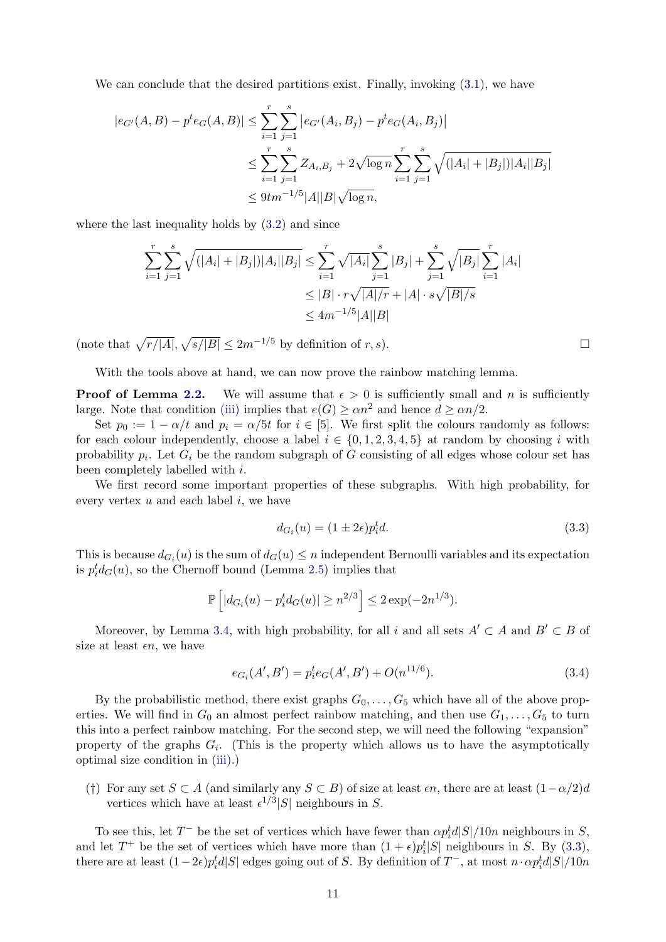We can conclude that the desired partitions exist. Finally, invoking  $(3.1)$ , we have

$$
|e_{G'}(A,B) - p^t e_G(A,B)| \le \sum_{i=1}^r \sum_{j=1}^s |e_{G'}(A_i, B_j) - p^t e_G(A_i, B_j)|
$$
  

$$
\le \sum_{i=1}^r \sum_{j=1}^s Z_{A_i, B_j} + 2\sqrt{\log n} \sum_{i=1}^r \sum_{j=1}^s \sqrt{(|A_i| + |B_j|)|A_i||B_j|}
$$
  

$$
\le 9tm^{-1/5}|A||B|\sqrt{\log n},
$$

where the last inequality holds by [\(3.2\)](#page-9-1) and since

$$
\sum_{i=1}^{r} \sum_{j=1}^{s} \sqrt{(|A_i| + |B_j|)|A_i||B_j|} \le \sum_{i=1}^{r} \sqrt{|A_i|} \sum_{j=1}^{s} |B_j| + \sum_{j=1}^{s} \sqrt{|B_j|} \sum_{i=1}^{r} |A_i|
$$
  
\n
$$
\le |B| \cdot r \sqrt{|A|/r} + |A| \cdot s \sqrt{|B|/s}
$$
  
\n
$$
\le 4m^{-1/5}|A||B|
$$

(note that  $\sqrt{r/|A|}, \sqrt{s/|B|} \leq 2m^{-1/5}$  by definition of r, s).

With the tools above at hand, we can now prove the rainbow matching lemma.

**Proof of Lemma [2.2.](#page-3-1)** We will assume that  $\epsilon > 0$  is sufficiently small and n is sufficiently large. Note that condition [\(iii\)](#page-3-3) implies that  $e(G) \geq \alpha n^2$  and hence  $d \geq \alpha n/2$ .

Set  $p_0 := 1 - \alpha/t$  and  $p_i = \alpha/5t$  for  $i \in [5]$ . We first split the colours randomly as follows: for each colour independently, choose a label  $i \in \{0, 1, 2, 3, 4, 5\}$  at random by choosing i with probability  $p_i$ . Let  $G_i$  be the random subgraph of G consisting of all edges whose colour set has been completely labelled with i.

We first record some important properties of these subgraphs. With high probability, for every vertex  $u$  and each label  $i$ , we have

$$
d_{G_i}(u) = (1 \pm 2\epsilon)p_i^t d. \tag{3.3}
$$

This is because  $d_{G_i}(u)$  is the sum of  $d_G(u) \leq n$  independent Bernoulli variables and its expectation is  $p_i^t d_G(u)$ , so the Chernoff bound (Lemma [2.5\)](#page-5-1) implies that

$$
\mathbb{P}\left[|d_{G_i}(u) - p_i^t d_G(u)| \ge n^{2/3}\right] \le 2\exp(-2n^{1/3}).
$$

Moreover, by Lemma [3.4,](#page-9-2) with high probability, for all i and all sets  $A' \subset A$  and  $B' \subset B$  of size at least  $\epsilon n$ , we have

$$
e_{G_i}(A', B') = p_i^t e_G(A', B') + O(n^{11/6}).
$$
\n(3.4)

By the probabilistic method, there exist graphs  $G_0, \ldots, G_5$  which have all of the above properties. We will find in  $G_0$  an almost perfect rainbow matching, and then use  $G_1, \ldots, G_5$  to turn this into a perfect rainbow matching. For the second step, we will need the following "expansion" property of the graphs  $G_i$ . (This is the property which allows us to have the asymptotically optimal size condition in [\(iii\).](#page-3-3))

<span id="page-10-2"></span>(†) For any set  $S \subset A$  (and similarly any  $S \subset B$ ) of size at least  $\epsilon n$ , there are at least  $(1-\alpha/2)d$ vertices which have at least  $\epsilon^{1/3} |S|$  neighbours in S.

To see this, let  $T^-$  be the set of vertices which have fewer than  $\alpha p_i^t d|S|/10n$  neighbours in S, and let  $T^+$  be the set of vertices which have more than  $(1 + \epsilon)p_i^t|S|$  neighbours in S. By [\(3.3\)](#page-10-0), there are at least  $(1-2\epsilon)p_i^t d|S|$  edges going out of S. By definition of  $T^-$ , at most  $n \cdot \alpha p_i^t d|S|/10n$ 

<span id="page-10-1"></span><span id="page-10-0"></span>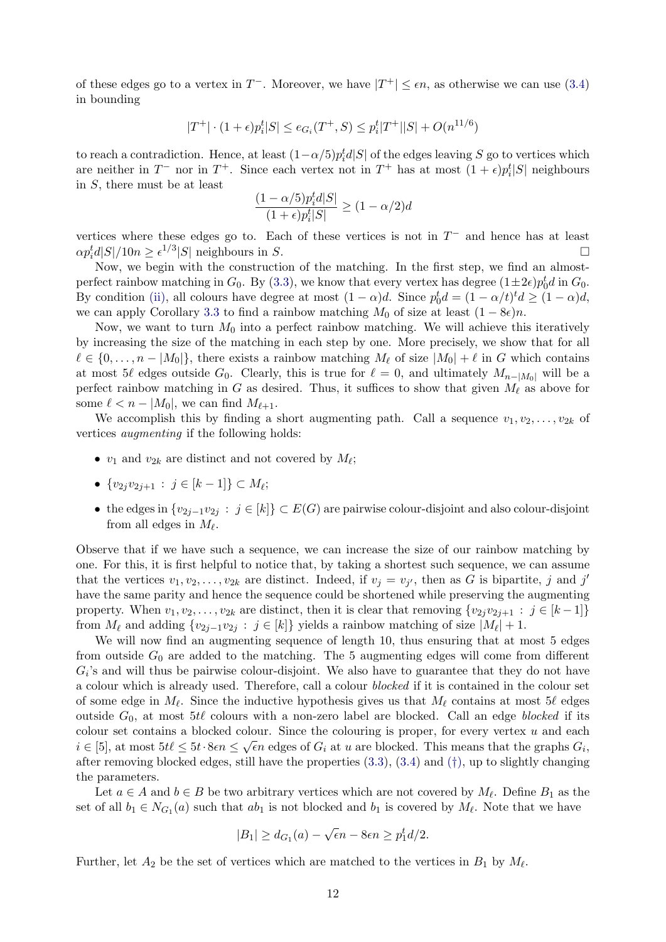of these edges go to a vertex in  $T^-$ . Moreover, we have  $|T^+| \leq \epsilon n$ , as otherwise we can use [\(3.4\)](#page-10-1) in bounding

$$
|T^+| \cdot (1+\epsilon) p_i^t |S| \le e_{G_i}(T^+, S) \le p_i^t |T^+| |S| + O(n^{11/6})
$$

to reach a contradiction. Hence, at least  $(1-\alpha/5)p_i^t d|S|$  of the edges leaving S go to vertices which are neither in  $T^-$  nor in  $T^+$ . Since each vertex not in  $T^+$  has at most  $(1+\epsilon)p_i^t|S|$  neighbours in S, there must be at least

$$
\frac{(1-\alpha/5)p_i^t d|S|}{(1+\epsilon)p_i^t |S|} \ge (1-\alpha/2)d
$$

vertices where these edges go to. Each of these vertices is not in  $T^-$  and hence has at least  $\alpha p_i^t d|S|/10n \ge \epsilon^{1/3}|S|$  neighbours in S.

Now, we begin with the construction of the matching. In the first step, we find an almostperfect rainbow matching in  $G_0$ . By [\(3.3\)](#page-10-0), we know that every vertex has degree  $(1 \pm 2\epsilon)p_0^t d$  in  $G_0$ . By condition [\(ii\),](#page-3-5) all colours have degree at most  $(1 - \alpha)d$ . Since  $p_0^t d = (1 - \alpha/t)^t d \ge (1 - \alpha)d$ , we can apply Corollary [3.3](#page-8-2) to find a rainbow matching  $M_0$  of size at least  $(1 - 8\epsilon)n$ .

Now, we want to turn  $M_0$  into a perfect rainbow matching. We will achieve this iteratively by increasing the size of the matching in each step by one. More precisely, we show that for all  $\ell \in \{0, \ldots, n - |M_0|\}$ , there exists a rainbow matching  $M_\ell$  of size  $|M_0| + \ell$  in G which contains at most 5 $\ell$  edges outside G<sub>0</sub>. Clearly, this is true for  $\ell = 0$ , and ultimately  $M_{n-|M_0|}$  will be a perfect rainbow matching in G as desired. Thus, it suffices to show that given  $M_\ell$  as above for some  $\ell < n - |M_0|$ , we can find  $M_{\ell+1}$ .

We accomplish this by finding a short augmenting path. Call a sequence  $v_1, v_2, \ldots, v_{2k}$  of vertices augmenting if the following holds:

- $v_1$  and  $v_{2k}$  are distinct and not covered by  $M_{\ell}$ ;
- $\{v_{2j}v_{2j+1} : j \in [k-1]\} \subset M_{\ell};$
- the edges in  $\{v_{2j-1}v_{2j} : j \in [k]\} \subset E(G)$  are pairwise colour-disjoint and also colour-disjoint from all edges in  $M_{\ell}$ .

Observe that if we have such a sequence, we can increase the size of our rainbow matching by one. For this, it is first helpful to notice that, by taking a shortest such sequence, we can assume that the vertices  $v_1, v_2, \ldots, v_{2k}$  are distinct. Indeed, if  $v_j = v_{j'}$ , then as G is bipartite, j and j' have the same parity and hence the sequence could be shortened while preserving the augmenting property. When  $v_1, v_2, \ldots, v_{2k}$  are distinct, then it is clear that removing  $\{v_2, v_{2j+1} : j \in [k-1]\}$ from  $M_\ell$  and adding  $\{v_{2j-1}v_{2j} : j \in [k]\}\$  yields a rainbow matching of size  $|M_\ell| + 1$ .

We will now find an augmenting sequence of length 10, thus ensuring that at most 5 edges from outside  $G_0$  are added to the matching. The 5 augmenting edges will come from different  $G_i$ 's and will thus be pairwise colour-disjoint. We also have to guarantee that they do not have a colour which is already used. Therefore, call a colour blocked if it is contained in the colour set of some edge in  $M_\ell$ . Since the inductive hypothesis gives us that  $M_\ell$  contains at most 5 $\ell$  edges outside  $G_0$ , at most 5t $\ell$  colours with a non-zero label are blocked. Call an edge blocked if its colour set contains a blocked colour. Since the colouring is proper, for every vertex u and each  $\sim$  $i \in [5]$ , at most  $5t\ell \leq 5t \cdot 8\epsilon n \leq \sqrt{\epsilon}n$  edges of  $G_i$  at u are blocked. This means that the graphs  $G_i$ , after removing blocked edges, still have the properties  $(3.3)$ ,  $(3.4)$  and  $(†)$ , up to slightly changing the parameters.

Let  $a \in A$  and  $b \in B$  be two arbitrary vertices which are not covered by  $M_{\ell}$ . Define  $B_1$  as the set of all  $b_1 \in N_{G_1}(a)$  such that  $ab_1$  is not blocked and  $b_1$  is covered by  $M_\ell$ . Note that we have

$$
|B_1| \ge d_{G_1}(a) - \sqrt{\epsilon}n - 8\epsilon n \ge p_1^t d/2.
$$

Further, let  $A_2$  be the set of vertices which are matched to the vertices in  $B_1$  by  $M_\ell$ .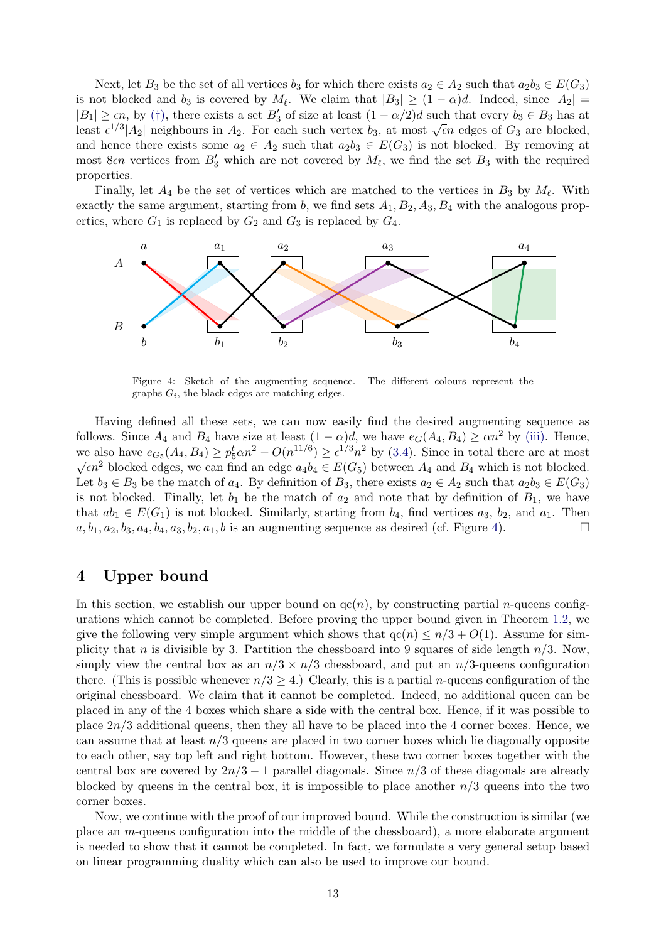Next, let  $B_3$  be the set of all vertices  $b_3$  for which there exists  $a_2 \in A_2$  such that  $a_2b_3 \in E(G_3)$ is not blocked and  $b_3$  is covered by  $M_\ell$ . We claim that  $|B_3| \ge (1-\alpha)d$ . Indeed, since  $|A_2|$  =  $|B_1| \geq \epsilon n$ , by (†[\),](#page-10-2) there exists a set  $B'_3$  of size at least  $(1 - \alpha/2)d$  such that every  $b_3 \in B_3$  has at  $|D_1| \leq \epsilon n$ , by (1), there exists a set  $D_3$  or size at least  $(1 - \alpha/2)a$  such that every  $\delta_3 \in D_3$  has at least  $\epsilon^{1/3} |A_2|$  neighbours in  $A_2$ . For each such vertex  $b_3$ , at most  $\sqrt{\epsilon}n$  edges of  $G_3$  are bloc and hence there exists some  $a_2 \in A_2$  such that  $a_2b_3 \in E(G_3)$  is not blocked. By removing at most 8 $\epsilon n$  vertices from  $B'_3$  which are not covered by  $M_{\ell}$ , we find the set  $B_3$  with the required properties.

Finally, let  $A_4$  be the set of vertices which are matched to the vertices in  $B_3$  by  $M_\ell$ . With exactly the same argument, starting from b, we find sets  $A_1, B_2, A_3, B_4$  with the analogous properties, where  $G_1$  is replaced by  $G_2$  and  $G_3$  is replaced by  $G_4$ .

<span id="page-12-1"></span>

Figure 4: Sketch of the augmenting sequence. The different colours represent the graphs  $G_i$ , the black edges are matching edges.

Having defined all these sets, we can now easily find the desired augmenting sequence as follows. Since  $A_4$  and  $B_4$  have size at least  $(1 - \alpha)d$ , we have  $e_G(A_4, B_4) \ge \alpha n^2$  by [\(iii\).](#page-3-3) Hence, we also have  $e_{G_5}(A_4, B_4) \ge p_5^t \alpha n^2 - O(n^{11/6}) \ge \epsilon^{1/3} n^2$  by [\(3.4\)](#page-10-1). Since in total there are at most We also have  $e_{G_5}(A_4, D_4) \geq p_5 \alpha n^3 - O(n^2) \geq e^{i2} n$  by (5.4). Since in total there are at most  $\sqrt{\epsilon}n^2$  blocked edges, we can find an edge  $a_4b_4 \in E(G_5)$  between  $A_4$  and  $B_4$  which is not blocked. Let  $b_3 \in B_3$  be the match of  $a_4$ . By definition of  $B_3$ , there exists  $a_2 \in A_2$  such that  $a_2b_3 \in E(G_3)$ is not blocked. Finally, let  $b_1$  be the match of  $a_2$  and note that by definition of  $B_1$ , we have that  $ab_1 \in E(G_1)$  is not blocked. Similarly, starting from  $b_4$ , find vertices  $a_3$ ,  $b_2$ , and  $a_1$ . Then  $a, b_1, a_2, b_3, a_4, b_4, a_3, b_2, a_1, b$  is an augmenting sequence as desired (cf. Figure [4\)](#page-12-1).

# <span id="page-12-0"></span>4 Upper bound

In this section, we establish our upper bound on  $qc(n)$ , by constructing partial *n*-queens configurations which cannot be completed. Before proving the upper bound given in Theorem [1.2,](#page-2-1) we give the following very simple argument which shows that  $qc(n) \leq n/3 + O(1)$ . Assume for simplicity that n is divisible by 3. Partition the chessboard into 9 squares of side length  $n/3$ . Now, simply view the central box as an  $n/3 \times n/3$  chessboard, and put an  $n/3$ -queens configuration there. (This is possible whenever  $n/3 > 4$ .) Clearly, this is a partial *n*-queens configuration of the original chessboard. We claim that it cannot be completed. Indeed, no additional queen can be placed in any of the 4 boxes which share a side with the central box. Hence, if it was possible to place  $2n/3$  additional queens, then they all have to be placed into the 4 corner boxes. Hence, we can assume that at least  $n/3$  queens are placed in two corner boxes which lie diagonally opposite to each other, say top left and right bottom. However, these two corner boxes together with the central box are covered by  $2n/3 - 1$  parallel diagonals. Since  $n/3$  of these diagonals are already blocked by queens in the central box, it is impossible to place another  $n/3$  queens into the two corner boxes.

Now, we continue with the proof of our improved bound. While the construction is similar (we place an m-queens configuration into the middle of the chessboard), a more elaborate argument is needed to show that it cannot be completed. In fact, we formulate a very general setup based on linear programming duality which can also be used to improve our bound.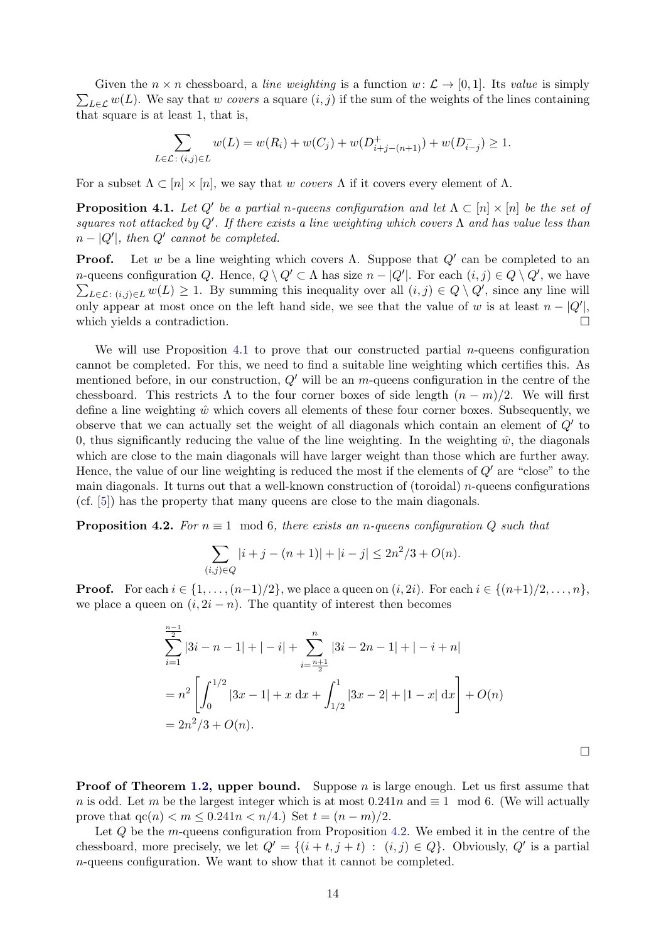$\sum_{L\in\mathcal{L}} w(L)$ . We say that w covers a square  $(i, j)$  if the sum of the weights of the lines containing Given the  $n \times n$  chessboard, a line weighting is a function  $w: \mathcal{L} \to [0, 1]$ . Its value is simply that square is at least 1, that is,

$$
\sum_{L \in \mathcal{L} \colon (i,j) \in L} w(L) = w(R_i) + w(C_j) + w(D_{i+j-(n+1)}^+) + w(D_{i-j}^-) \ge 1.
$$

For a subset  $\Lambda \subset [n] \times [n]$ , we say that w covers  $\Lambda$  if it covers every element of  $\Lambda$ .

<span id="page-13-0"></span>**Proposition 4.1.** Let Q' be a partial n-queens configuration and let  $\Lambda \subset [n] \times [n]$  be the set of squares not attacked by Q'. If there exists a line weighting which covers  $\Lambda$  and has value less than  $n - |Q'|$ , then  $Q'$  cannot be completed.

**Proof.** Let w be a line weighting which covers  $\Lambda$ . Suppose that  $Q'$  can be completed to an *n*-queens configuration Q. Hence,  $Q \setminus Q' \subset \Lambda$  has size  $n - |Q'|$ . For each  $(i, j) \in Q \setminus Q'$ , we have  $\sum_{L\in\mathcal{L}: (i,j)\in L} w(L) \geq 1$ . By summing this inequality over all  $(i,j)\in Q\setminus Q'$ , since any line will only appear at most once on the left hand side, we see that the value of w is at least  $n - |Q'|$ , which yields a contradiction.

We will use Proposition [4.1](#page-13-0) to prove that our constructed partial *n*-queens configuration cannot be completed. For this, we need to find a suitable line weighting which certifies this. As mentioned before, in our construction,  $Q'$  will be an m-queens configuration in the centre of the chessboard. This restricts  $\Lambda$  to the four corner boxes of side length  $(n - m)/2$ . We will first define a line weighting  $\hat{w}$  which covers all elements of these four corner boxes. Subsequently, we observe that we can actually set the weight of all diagonals which contain an element of  $Q'$  to 0, thus significantly reducing the value of the line weighting. In the weighting  $\hat{w}$ , the diagonals which are close to the main diagonals will have larger weight than those which are further away. Hence, the value of our line weighting is reduced the most if the elements of  $Q'$  are "close" to the main diagonals. It turns out that a well-known construction of (toroidal)  $n$ -queens configurations (cf. [\[5\]](#page-17-0)) has the property that many queens are close to the main diagonals.

<span id="page-13-1"></span>**Proposition 4.2.** For  $n \equiv 1 \mod 6$ , there exists an n-queens configuration Q such that

$$
\sum_{(i,j)\in Q} |i+j-(n+1)|+|i-j| \le 2n^2/3 + O(n).
$$

**Proof.** For each  $i \in \{1, ..., (n-1)/2\}$ , we place a queen on  $(i, 2i)$ . For each  $i \in \{(n+1)/2, ..., n\}$ , we place a queen on  $(i, 2i - n)$ . The quantity of interest then becomes

$$
\sum_{i=1}^{\frac{n-1}{2}} |3i - n - 1| + |-i| + \sum_{i=\frac{n+1}{2}}^{n} |3i - 2n - 1| + |-i + n|
$$
  
=  $n^2 \left[ \int_0^{1/2} |3x - 1| + x \, dx + \int_{1/2}^1 |3x - 2| + |1 - x| \, dx \right] + O(n)$   
=  $2n^2/3 + O(n)$ .

 $\Box$ 

**Proof of Theorem [1.2,](#page-2-1) upper bound.** Suppose  $n$  is large enough. Let us first assume that n is odd. Let m be the largest integer which is at most  $0.241n$  and  $\equiv 1 \mod 6$ . (We will actually prove that  $qc(n) < m \leq 0.241n < n/4$ . Set  $t = (n - m)/2$ .

Let Q be the m-queens configuration from Proposition [4.2.](#page-13-1) We embed it in the centre of the chessboard, more precisely, we let  $Q' = \{(i + t, j + t) : (i, j) \in Q\}$ . Obviously,  $Q'$  is a partial n-queens configuration. We want to show that it cannot be completed.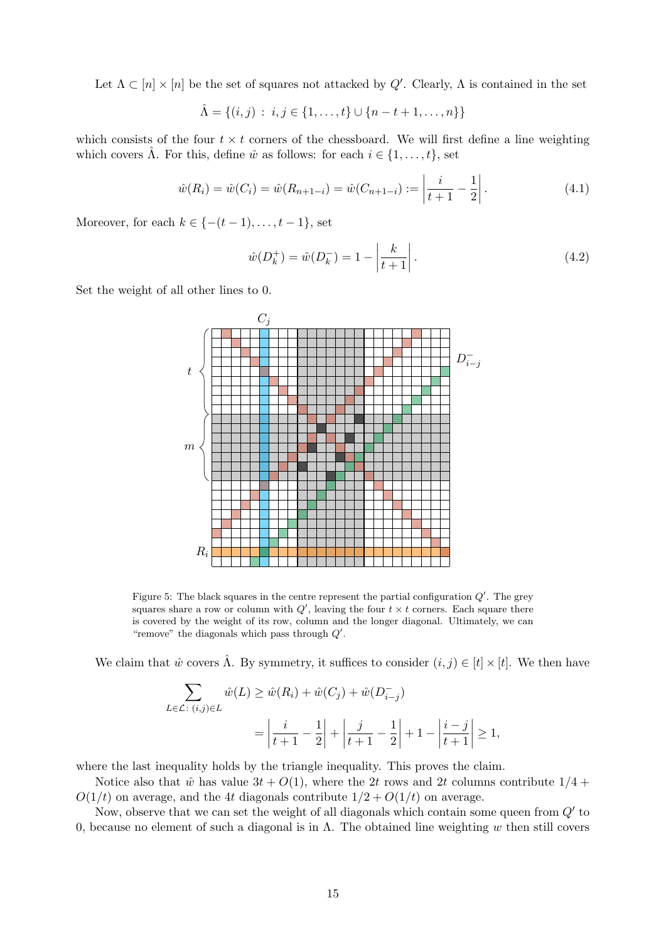Let  $\Lambda \subset [n] \times [n]$  be the set of squares not attacked by  $Q'$ . Clearly,  $\Lambda$  is contained in the set

$$
\hat{\Lambda} = \{(i, j) : i, j \in \{1, \dots, t\} \cup \{n - t + 1, \dots, n\}\}
$$

which consists of the four  $t \times t$  corners of the chessboard. We will first define a line weighting which covers  $\hat{\Lambda}$ . For this, define  $\hat{w}$  as follows: for each  $i \in \{1, \ldots, t\}$ , set

$$
\hat{w}(R_i) = \hat{w}(C_i) = \hat{w}(R_{n+1-i}) = \hat{w}(C_{n+1-i}) := \left|\frac{i}{t+1} - \frac{1}{2}\right|.
$$
\n(4.1)

Moreover, for each  $k \in \{-(t-1), \ldots, t-1\}$ , set

$$
\hat{w}(D_k^+) = \hat{w}(D_k^-) = 1 - \left| \frac{k}{t+1} \right|.
$$
\n(4.2)

Set the weight of all other lines to 0.



Figure 5: The black squares in the centre represent the partial configuration  $Q'$ . The grey squares share a row or column with  $Q'$ , leaving the four  $t \times t$  corners. Each square there is covered by the weight of its row, column and the longer diagonal. Ultimately, we can "remove" the diagonals which pass through  $Q'$ .

We claim that  $\hat{w}$  covers  $\hat{\Lambda}$ . By symmetry, it suffices to consider  $(i, j) \in [t] \times [t]$ . We then have

$$
\sum_{L \in \mathcal{L} \colon (i,j) \in L} \hat{w}(L) \ge \hat{w}(R_i) + \hat{w}(C_j) + \hat{w}(D_{i-j}^{-})
$$
\n
$$
= \left| \frac{i}{t+1} - \frac{1}{2} \right| + \left| \frac{j}{t+1} - \frac{1}{2} \right| + 1 - \left| \frac{i-j}{t+1} \right| \ge 1,
$$

where the last inequality holds by the triangle inequality. This proves the claim.

Notice also that  $\hat{w}$  has value  $3t + O(1)$ , where the 2t rows and 2t columns contribute  $1/4$  +  $O(1/t)$  on average, and the 4t diagonals contribute  $1/2 + O(1/t)$  on average.

Now, observe that we can set the weight of all diagonals which contain some queen from  $Q'$  to 0, because no element of such a diagonal is in Λ. The obtained line weighting w then still covers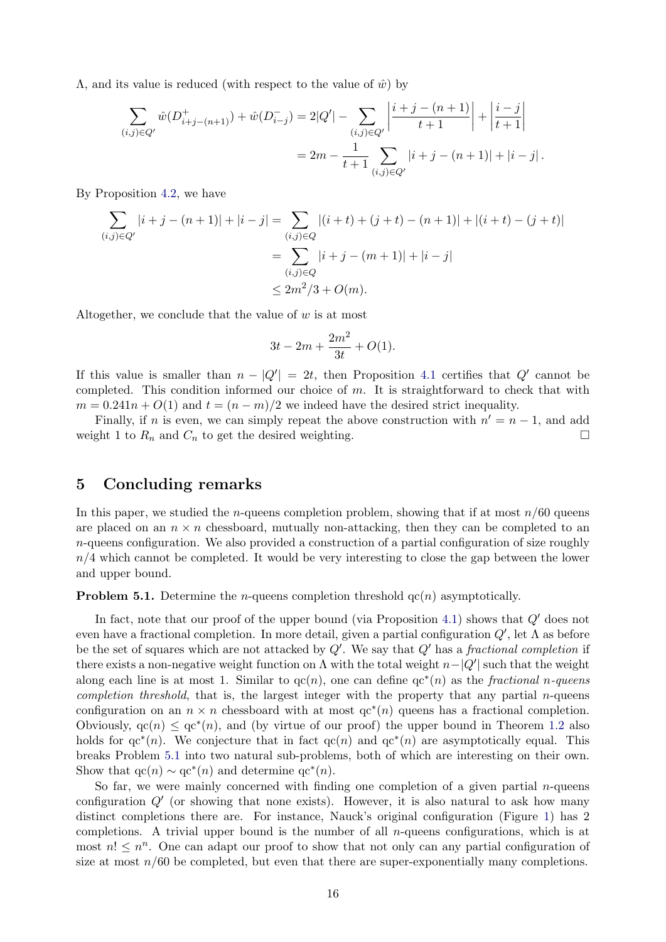$Λ$ , and its value is reduced (with respect to the value of  $\hat{w}$ ) by

$$
\sum_{(i,j)\in Q'} \hat{w}(D^+_{i+j-(n+1)}) + \hat{w}(D^-_{i-j}) = 2|Q'| - \sum_{(i,j)\in Q'} \left| \frac{i+j-(n+1)}{t+1} \right| + \left| \frac{i-j}{t+1} \right|
$$
  
=  $2m - \frac{1}{t+1} \sum_{(i,j)\in Q'} |i+j-(n+1)| + |i-j|.$ 

By Proposition [4.2,](#page-13-1) we have

$$
\sum_{(i,j)\in Q'} |i+j - (n+1)| + |i - j| = \sum_{(i,j)\in Q} |(i+t) + (j+t) - (n+1)| + |(i+t) - (j+t)|
$$
  
= 
$$
\sum_{(i,j)\in Q} |i+j - (m+1)| + |i - j|
$$
  

$$
\leq 2m^2/3 + O(m).
$$

Altogether, we conclude that the value of  $w$  is at most

$$
3t - 2m + \frac{2m^2}{3t} + O(1).
$$

If this value is smaller than  $n - |Q'| = 2t$ , then Proposition [4.1](#page-13-0) certifies that Q' cannot be completed. This condition informed our choice of  $m$ . It is straightforward to check that with  $m = 0.241n + O(1)$  and  $t = (n - m)/2$  we indeed have the desired strict inequality.

Finally, if n is even, we can simply repeat the above construction with  $n' = n - 1$ , and add weight 1 to  $R_n$  and  $C_n$  to get the desired weighting.

### <span id="page-15-0"></span>5 Concluding remarks

In this paper, we studied the *n*-queens completion problem, showing that if at most  $n/60$  queens are placed on an  $n \times n$  chessboard, mutually non-attacking, then they can be completed to an  $n$ -queens configuration. We also provided a construction of a partial configuration of size roughly  $n/4$  which cannot be completed. It would be very interesting to close the gap between the lower and upper bound.

<span id="page-15-1"></span>**Problem 5.1.** Determine the *n*-queens completion threshold  $qc(n)$  asymptotically.

In fact, note that our proof of the upper bound (via Proposition [4.1\)](#page-13-0) shows that  $Q'$  does not even have a fractional completion. In more detail, given a partial configuration  $Q'$ , let  $\Lambda$  as before be the set of squares which are not attacked by  $Q'$ . We say that  $Q'$  has a fractional completion if there exists a non-negative weight function on  $\Lambda$  with the total weight  $n-|Q'|$  such that the weight along each line is at most 1. Similar to  $q c(n)$ , one can define  $q c^*(n)$  as the fractional n-queens *completion threshold*, that is, the largest integer with the property that any partial *n*-queens configuration on an  $n \times n$  chessboard with at most  $qc^*(n)$  queens has a fractional completion. Obviously,  $qc(n) \le qc^*(n)$ , and (by virtue of our proof) the upper bound in Theorem [1.2](#page-2-1) also holds for  $\text{qc}^*(n)$ . We conjecture that in fact  $\text{qc}(n)$  and  $\text{qc}^*(n)$  are asymptotically equal. This breaks Problem [5.1](#page-15-1) into two natural sub-problems, both of which are interesting on their own. Show that  $\operatorname{qc}(n) \sim \operatorname{qc}^*(n)$  and determine  $\operatorname{qc}^*(n)$ .

So far, we were mainly concerned with finding one completion of a given partial  $n$ -queens configuration  $Q'$  (or showing that none exists). However, it is also natural to ask how many distinct completions there are. For instance, Nauck's original configuration (Figure [1\)](#page-0-0) has 2 completions. A trivial upper bound is the number of all  $n$ -queens configurations, which is at most  $n! \leq n^n$ . One can adapt our proof to show that not only can any partial configuration of size at most  $n/60$  be completed, but even that there are super-exponentially many completions.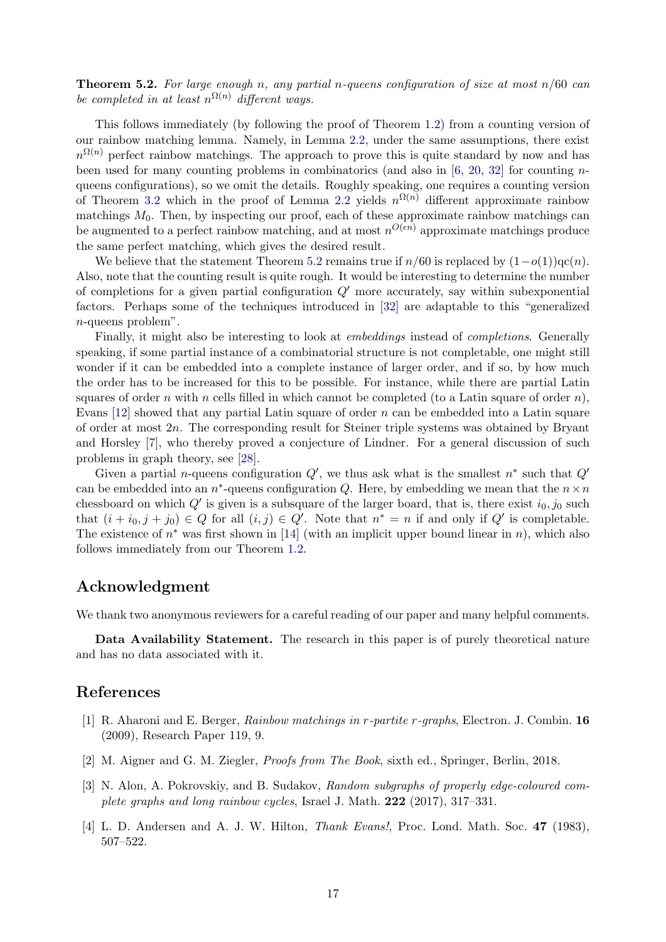<span id="page-16-4"></span>**Theorem 5.2.** For large enough n, any partial n-queens configuration of size at most  $n/60$  can be completed in at least  $n^{\Omega(n)}$  different ways.

This follows immediately (by following the proof of Theorem [1.2\)](#page-2-1) from a counting version of our rainbow matching lemma. Namely, in Lemma [2.2,](#page-3-1) under the same assumptions, there exist  $n^{\Omega(n)}$  perfect rainbow matchings. The approach to prove this is quite standard by now and has been used for many counting problems in combinatorics (and also in  $[6, 20, 32]$  $[6, 20, 32]$  $[6, 20, 32]$  $[6, 20, 32]$  $[6, 20, 32]$  for counting nqueens configurations), so we omit the details. Roughly speaking, one requires a counting version of Theorem [3.2](#page-8-0) which in the proof of Lemma [2.2](#page-3-1) yields  $n^{\Omega(n)}$  different approximate rainbow matchings  $M_0$ . Then, by inspecting our proof, each of these approximate rainbow matchings can be augmented to a perfect rainbow matching, and at most  $n^{O(\epsilon n)}$  approximate matchings produce the same perfect matching, which gives the desired result.

We believe that the statement Theorem [5.2](#page-16-4) remains true if  $n/60$  is replaced by  $(1-o(1))\text{qc}(n)$ . Also, note that the counting result is quite rough. It would be interesting to determine the number of completions for a given partial configuration  $O'$  more accurately, say within subexponential factors. Perhaps some of the techniques introduced in [\[32\]](#page-18-1) are adaptable to this "generalized n-queens problem".

Finally, it might also be interesting to look at embeddings instead of completions. Generally speaking, if some partial instance of a combinatorial structure is not completable, one might still wonder if it can be embedded into a complete instance of larger order, and if so, by how much the order has to be increased for this to be possible. For instance, while there are partial Latin squares of order n with n cells filled in which cannot be completed (to a Latin square of order n), Evans  $[12]$  showed that any partial Latin square of order n can be embedded into a Latin square of order at most  $2n$ . The corresponding result for Steiner triple systems was obtained by Bryant and Horsley [\[7\]](#page-17-21), who thereby proved a conjecture of Lindner. For a general discussion of such problems in graph theory, see [\[28\]](#page-18-6).

Given a partial *n*-queens configuration  $Q'$ , we thus ask what is the smallest  $n^*$  such that  $Q'$ can be embedded into an  $n^*$ -queens configuration Q. Here, by embedding we mean that the  $n \times n$ chessboard on which  $Q'$  is given is a subsquare of the larger board, that is, there exist  $i_0, j_0$  such that  $(i + i_0, j + j_0) \in Q$  for all  $(i, j) \in Q'$ . Note that  $n^* = n$  if and only if  $Q'$  is completable. The existence of  $n^*$  was first shown in [\[14\]](#page-17-6) (with an implicit upper bound linear in n), which also follows immediately from our Theorem [1.2.](#page-2-1)

# Acknowledgment

We thank two anonymous reviewers for a careful reading of our paper and many helpful comments.

Data Availability Statement. The research in this paper is of purely theoretical nature and has no data associated with it.

### References

- <span id="page-16-2"></span>[1] R. Aharoni and E. Berger, Rainbow matchings in r-partite r-graphs, Electron. J. Combin. 16 (2009), Research Paper 119, 9.
- <span id="page-16-1"></span>[2] M. Aigner and G. M. Ziegler, Proofs from The Book, sixth ed., Springer, Berlin, 2018.
- <span id="page-16-3"></span>[3] N. Alon, A. Pokrovskiy, and B. Sudakov, Random subgraphs of properly edge-coloured complete graphs and long rainbow cycles, Israel J. Math. 222 (2017), 317–331.
- <span id="page-16-0"></span>[4] L. D. Andersen and A. J. W. Hilton, *Thank Evans!*, Proc. Lond. Math. Soc. 47 (1983), 507–522.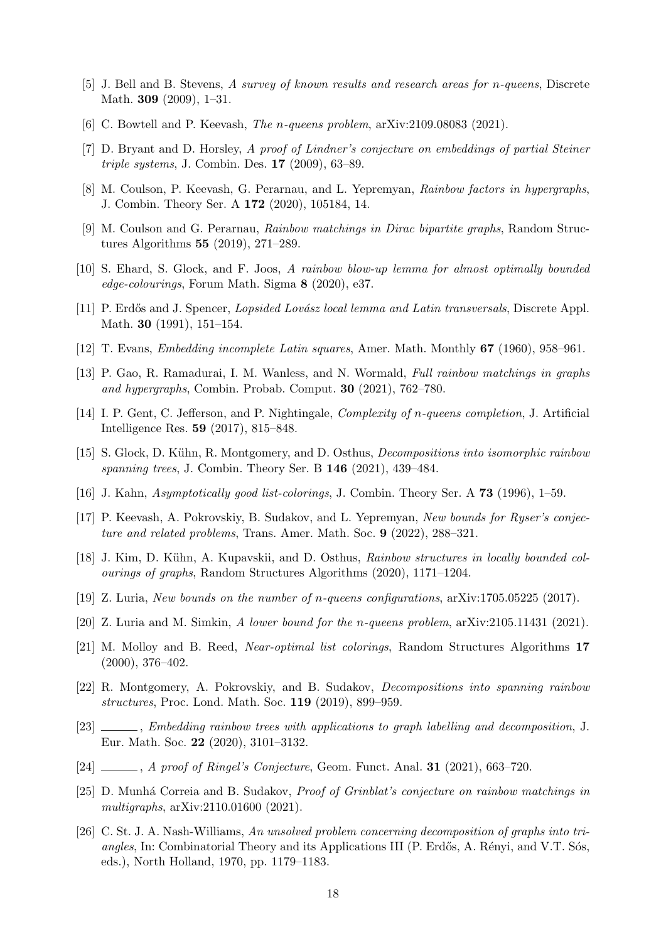- <span id="page-17-0"></span>[5] J. Bell and B. Stevens, A survey of known results and research areas for n-queens, Discrete Math. 309 (2009), 1–31.
- <span id="page-17-1"></span>[6] C. Bowtell and P. Keevash, The n-queens problem, arXiv:2109.08083 (2021).
- <span id="page-17-21"></span>[7] D. Bryant and D. Horsley, A proof of Lindner's conjecture on embeddings of partial Steiner triple systems, J. Combin. Des. 17 (2009), 63–89.
- <span id="page-17-7"></span>[8] M. Coulson, P. Keevash, G. Perarnau, and L. Yepremyan, Rainbow factors in hypergraphs, J. Combin. Theory Ser. A 172 (2020), 105184, 14.
- <span id="page-17-8"></span>[9] M. Coulson and G. Perarnau, Rainbow matchings in Dirac bipartite graphs, Random Structures Algorithms 55 (2019), 271–289.
- <span id="page-17-9"></span>[10] S. Ehard, S. Glock, and F. Joos, A rainbow blow-up lemma for almost optimally bounded edge-colourings, Forum Math. Sigma 8 (2020), e37.
- <span id="page-17-18"></span>[11] P. Erdős and J. Spencer, *Lopsided Lovász local lemma and Latin transversals*, Discrete Appl. Math. 30 (1991), 151–154.
- <span id="page-17-4"></span>[12] T. Evans, Embedding incomplete Latin squares, Amer. Math. Monthly 67 (1960), 958–961.
- <span id="page-17-10"></span>[13] P. Gao, R. Ramadurai, I. M. Wanless, and N. Wormald, Full rainbow matchings in graphs and hypergraphs, Combin. Probab. Comput. 30 (2021), 762–780.
- <span id="page-17-6"></span>[14] I. P. Gent, C. Jefferson, and P. Nightingale, Complexity of n-queens completion, J. Artificial Intelligence Res. 59 (2017), 815–848.
- <span id="page-17-11"></span>[15] S. Glock, D. Kühn, R. Montgomery, and D. Osthus, *Decompositions into isomorphic rainbow* spanning trees, J. Combin. Theory Ser. B 146 (2021), 439–484.
- <span id="page-17-19"></span>[16] J. Kahn, Asymptotically good list-colorings, J. Combin. Theory Ser. A 73 (1996), 1–59.
- <span id="page-17-12"></span>[17] P. Keevash, A. Pokrovskiy, B. Sudakov, and L. Yepremyan, New bounds for Ryser's conjecture and related problems, Trans. Amer. Math. Soc. 9 (2022), 288–321.
- <span id="page-17-13"></span>[18] J. Kim, D. Kühn, A. Kupavskii, and D. Osthus, Rainbow structures in locally bounded colourings of graphs, Random Structures Algorithms (2020), 1171–1204.
- <span id="page-17-2"></span>[19] Z. Luria, New bounds on the number of n-queens configurations, arXiv:1705.05225 (2017).
- <span id="page-17-3"></span>[20] Z. Luria and M. Simkin, A lower bound for the n-queens problem, arXiv:2105.11431 (2021).
- <span id="page-17-20"></span>[21] M. Molloy and B. Reed, Near-optimal list colorings, Random Structures Algorithms 17 (2000), 376–402.
- <span id="page-17-14"></span>[22] R. Montgomery, A. Pokrovskiy, and B. Sudakov, Decompositions into spanning rainbow structures, Proc. Lond. Math. Soc. 119 (2019), 899–959.
- <span id="page-17-15"></span>[23]  $\_\_\_\_\_\$ , Embedding rainbow trees with applications to graph labelling and decomposition, J. Eur. Math. Soc. 22 (2020), 3101–3132.
- <span id="page-17-16"></span> $[24]$  , A proof of Ringel's Conjecture, Geom. Funct. Anal. 31 (2021), 663–720.
- <span id="page-17-17"></span>[25] D. Munhá Correia and B. Sudakov, *Proof of Grinblat's conjecture on rainbow matchings in* multigraphs,  $arXiv:2110.01600$  (2021).
- <span id="page-17-5"></span>[26] C. St. J. A. Nash-Williams, An unsolved problem concerning decomposition of graphs into triangles, In: Combinatorial Theory and its Applications III (P. Erdős, A. Rényi, and V.T. Sós, eds.), North Holland, 1970, pp. 1179–1183.